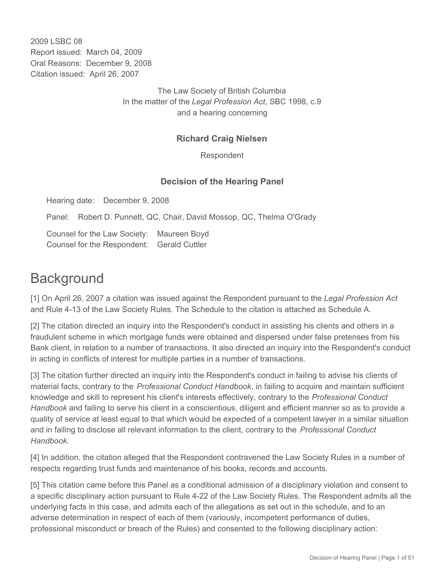2009 LSBC 08 Report issued: March 04, 2009 Oral Reasons: December 9, 2008 Citation issued: April 26, 2007

> The Law Society of British Columbia In the matter of the *Legal Profession Act*, SBC 1998, c.9 and a hearing concerning

## **Richard Craig Nielsen**

Respondent

## **Decision of the Hearing Panel**

Hearing date: December 9, 2008

Panel: Robert D. Punnett, QC, Chair, David Mossop, QC, Thelma O'Grady

Counsel for the Law Society: Maureen Boyd Counsel for the Respondent: Gerald Cuttler

# **Background**

[1] On April 26, 2007 a citation was issued against the Respondent pursuant to the *Legal Profession Act* and Rule 4-13 of the Law Society Rules. The Schedule to the citation is attached as Schedule A.

[2] The citation directed an inquiry into the Respondent's conduct in assisting his clients and others in a fraudulent scheme in which mortgage funds were obtained and dispersed under false pretenses from his Bank client, in relation to a number of transactions. It also directed an inquiry into the Respondent's conduct in acting in conflicts of interest for multiple parties in a number of transactions.

[3] The citation further directed an inquiry into the Respondent's conduct in failing to advise his clients of material facts, contrary to the *Professional Conduct Handbook*, in failing to acquire and maintain sufficient knowledge and skill to represent his client's interests effectively, contrary to the *Professional Conduct Handbook* and failing to serve his client in a conscientious, diligent and efficient manner so as to provide a quality of service at least equal to that which would be expected of a competent lawyer in a similar situation and in failing to disclose all relevant information to the client, contrary to the *Professional Conduct Handbook*.

[4] In addition, the citation alleged that the Respondent contravened the Law Society Rules in a number of respects regarding trust funds and maintenance of his books, records and accounts.

[5] This citation came before this Panel as a conditional admission of a disciplinary violation and consent to a specific disciplinary action pursuant to Rule 4-22 of the Law Society Rules. The Respondent admits all the underlying facts in this case, and admits each of the allegations as set out in the schedule, and to an adverse determination in respect of each of them (variously, incompetent performance of duties, professional misconduct or breach of the Rules) and consented to the following disciplinary action: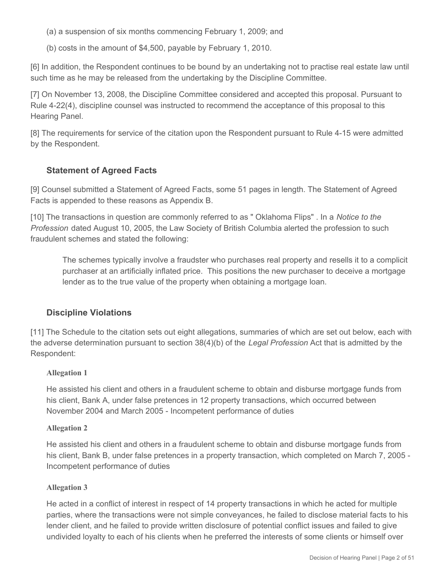(a) a suspension of six months commencing February 1, 2009; and

(b) costs in the amount of \$4,500, payable by February 1, 2010.

[6] In addition, the Respondent continues to be bound by an undertaking not to practise real estate law until such time as he may be released from the undertaking by the Discipline Committee.

[7] On November 13, 2008, the Discipline Committee considered and accepted this proposal. Pursuant to Rule 4-22(4), discipline counsel was instructed to recommend the acceptance of this proposal to this Hearing Panel.

[8] The requirements for service of the citation upon the Respondent pursuant to Rule 4-15 were admitted by the Respondent.

## **Statement of Agreed Facts**

[9] Counsel submitted a Statement of Agreed Facts, some 51 pages in length. The Statement of Agreed Facts is appended to these reasons as Appendix B.

[10] The transactions in question are commonly referred to as " Oklahoma Flips" . In a *Notice to the Profession* dated August 10, 2005, the Law Society of British Columbia alerted the profession to such fraudulent schemes and stated the following:

The schemes typically involve a fraudster who purchases real property and resells it to a complicit purchaser at an artificially inflated price. This positions the new purchaser to deceive a mortgage lender as to the true value of the property when obtaining a mortgage loan.

## **Discipline Violations**

[11] The Schedule to the citation sets out eight allegations, summaries of which are set out below, each with the adverse determination pursuant to section 38(4)(b) of the *Legal Profession* Act that is admitted by the Respondent:

#### **Allegation 1**

He assisted his client and others in a fraudulent scheme to obtain and disburse mortgage funds from his client, Bank A, under false pretences in 12 property transactions, which occurred between November 2004 and March 2005 - Incompetent performance of duties

#### **Allegation 2**

He assisted his client and others in a fraudulent scheme to obtain and disburse mortgage funds from his client, Bank B, under false pretences in a property transaction, which completed on March 7, 2005 - Incompetent performance of duties

#### **Allegation 3**

He acted in a conflict of interest in respect of 14 property transactions in which he acted for multiple parties, where the transactions were not simple conveyances, he failed to disclose material facts to his lender client, and he failed to provide written disclosure of potential conflict issues and failed to give undivided loyalty to each of his clients when he preferred the interests of some clients or himself over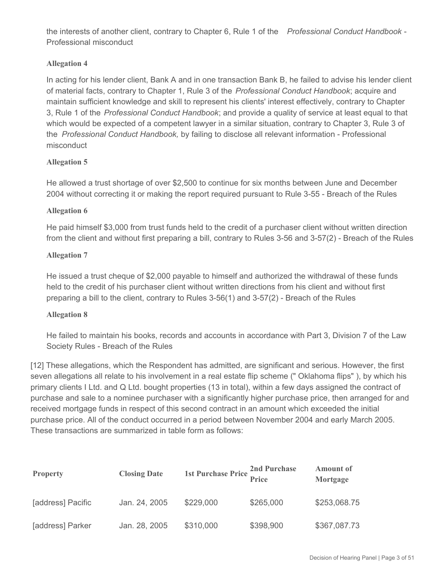the interests of another client, contrary to Chapter 6, Rule 1 of the *Professional Conduct Handbook* - Professional misconduct

#### **Allegation 4**

In acting for his lender client, Bank A and in one transaction Bank B, he failed to advise his lender client of material facts, contrary to Chapter 1, Rule 3 of the *Professional Conduct Handbook*; acquire and maintain sufficient knowledge and skill to represent his clients' interest effectively, contrary to Chapter 3, Rule 1 of the *Professional Conduct Handbook*; and provide a quality of service at least equal to that which would be expected of a competent lawyer in a similar situation, contrary to Chapter 3, Rule 3 of the *Professional Conduct Handbook,* by failing to disclose all relevant information - Professional misconduct

#### **Allegation 5**

He allowed a trust shortage of over \$2,500 to continue for six months between June and December 2004 without correcting it or making the report required pursuant to Rule 3-55 - Breach of the Rules

#### **Allegation 6**

He paid himself \$3,000 from trust funds held to the credit of a purchaser client without written direction from the client and without first preparing a bill, contrary to Rules 3-56 and 3-57(2) - Breach of the Rules

#### **Allegation 7**

He issued a trust cheque of \$2,000 payable to himself and authorized the withdrawal of these funds held to the credit of his purchaser client without written directions from his client and without first preparing a bill to the client, contrary to Rules 3-56(1) and 3-57(2) - Breach of the Rules

#### **Allegation 8**

He failed to maintain his books, records and accounts in accordance with Part 3, Division 7 of the Law Society Rules - Breach of the Rules

[12] These allegations, which the Respondent has admitted, are significant and serious. However, the first seven allegations all relate to his involvement in a real estate flip scheme (" Oklahoma flips" ), by which his primary clients I Ltd. and Q Ltd. bought properties (13 in total), within a few days assigned the contract of purchase and sale to a nominee purchaser with a significantly higher purchase price, then arranged for and received mortgage funds in respect of this second contract in an amount which exceeded the initial purchase price. All of the conduct occurred in a period between November 2004 and early March 2005. These transactions are summarized in table form as follows:

| <b>Property</b>   | <b>Closing Date</b> | <b>1st Purchase Price</b> | 2nd Purchase<br>Price | <b>Amount of</b><br>Mortgage |
|-------------------|---------------------|---------------------------|-----------------------|------------------------------|
| [address] Pacific | Jan. 24, 2005       | \$229,000                 | \$265,000             | \$253,068.75                 |
| [address] Parker  | Jan. 28, 2005       | \$310,000                 | \$398,900             | \$367,087.73                 |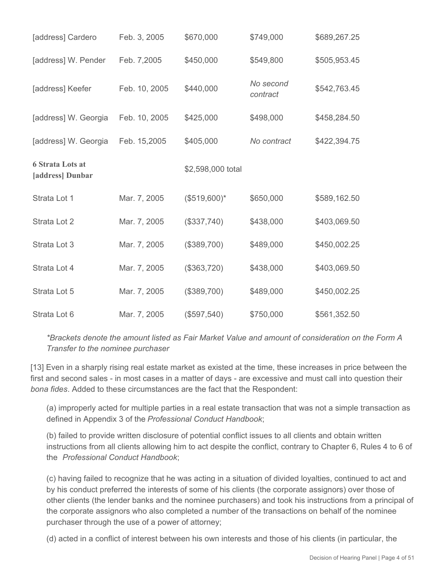| [address] Cardero                           | Feb. 3, 2005  | \$670,000         | \$749,000             | \$689,267.25 |
|---------------------------------------------|---------------|-------------------|-----------------------|--------------|
| [address] W. Pender                         | Feb. 7,2005   | \$450,000         | \$549,800             | \$505,953.45 |
| [address] Keefer                            | Feb. 10, 2005 | \$440,000         | No second<br>contract | \$542,763.45 |
| [address] W. Georgia                        | Feb. 10, 2005 | \$425,000         | \$498,000             | \$458,284.50 |
| [address] W. Georgia                        | Feb. 15,2005  | \$405,000         | No contract           | \$422,394.75 |
| <b>6 Strata Lots at</b><br>[address] Dunbar |               | \$2,598,000 total |                       |              |
| Strata Lot 1                                | Mar. 7, 2005  | $($519,600)*$     | \$650,000             | \$589,162.50 |
| Strata Lot 2                                | Mar. 7, 2005  | (\$337,740)       | \$438,000             | \$403,069.50 |
| Strata Lot 3                                | Mar. 7, 2005  | (\$389,700)       | \$489,000             | \$450,002.25 |
| Strata Lot 4                                | Mar. 7, 2005  | (\$363,720)       | \$438,000             | \$403,069.50 |
| Strata Lot 5                                | Mar. 7, 2005  | (\$389,700)       | \$489,000             | \$450,002.25 |
| Strata Lot 6                                | Mar. 7, 2005  | (\$597,540)       | \$750,000             | \$561,352.50 |

*\*Brackets denote the amount listed as Fair Market Value and amount of consideration on the Form A Transfer to the nominee purchaser*

[13] Even in a sharply rising real estate market as existed at the time, these increases in price between the first and second sales - in most cases in a matter of days - are excessive and must call into question their *bona fides*. Added to these circumstances are the fact that the Respondent:

(a) improperly acted for multiple parties in a real estate transaction that was not a simple transaction as defined in Appendix 3 of the *Professional Conduct Handbook*;

(b) failed to provide written disclosure of potential conflict issues to all clients and obtain written instructions from all clients allowing him to act despite the conflict, contrary to Chapter 6, Rules 4 to 6 of the *Professional Conduct Handbook*;

(c) having failed to recognize that he was acting in a situation of divided loyalties, continued to act and by his conduct preferred the interests of some of his clients (the corporate assignors) over those of other clients (the lender banks and the nominee purchasers) and took his instructions from a principal of the corporate assignors who also completed a number of the transactions on behalf of the nominee purchaser through the use of a power of attorney;

(d) acted in a conflict of interest between his own interests and those of his clients (in particular, the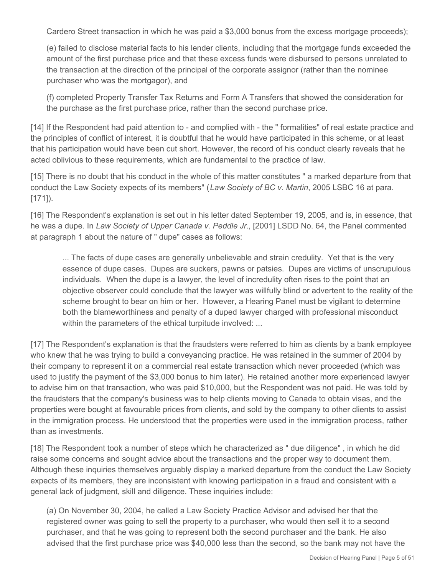Cardero Street transaction in which he was paid a \$3,000 bonus from the excess mortgage proceeds);

(e) failed to disclose material facts to his lender clients, including that the mortgage funds exceeded the amount of the first purchase price and that these excess funds were disbursed to persons unrelated to the transaction at the direction of the principal of the corporate assignor (rather than the nominee purchaser who was the mortgagor), and

(f) completed Property Transfer Tax Returns and Form A Transfers that showed the consideration for the purchase as the first purchase price, rather than the second purchase price.

[14] If the Respondent had paid attention to - and complied with - the " formalities" of real estate practice and the principles of conflict of interest, it is doubtful that he would have participated in this scheme, or at least that his participation would have been cut short. However, the record of his conduct clearly reveals that he acted oblivious to these requirements, which are fundamental to the practice of law.

[15] There is no doubt that his conduct in the whole of this matter constitutes " a marked departure from that conduct the Law Society expects of its members" (*Law Society of BC v. Martin*, 2005 LSBC 16 at para. [171]).

[16] The Respondent's explanation is set out in his letter dated September 19, 2005, and is, in essence, that he was a dupe. In *Law Society of Upper Canada v. Peddle Jr.*, [2001] LSDD No. 64, the Panel commented at paragraph 1 about the nature of " dupe" cases as follows:

... The facts of dupe cases are generally unbelievable and strain credulity. Yet that is the very essence of dupe cases. Dupes are suckers, pawns or patsies. Dupes are victims of unscrupulous individuals. When the dupe is a lawyer, the level of incredulity often rises to the point that an objective observer could conclude that the lawyer was willfully blind or advertent to the reality of the scheme brought to bear on him or her. However, a Hearing Panel must be vigilant to determine both the blameworthiness and penalty of a duped lawyer charged with professional misconduct within the parameters of the ethical turpitude involved: ...

[17] The Respondent's explanation is that the fraudsters were referred to him as clients by a bank employee who knew that he was trying to build a conveyancing practice. He was retained in the summer of 2004 by their company to represent it on a commercial real estate transaction which never proceeded (which was used to justify the payment of the \$3,000 bonus to him later). He retained another more experienced lawyer to advise him on that transaction, who was paid \$10,000, but the Respondent was not paid. He was told by the fraudsters that the company's business was to help clients moving to Canada to obtain visas, and the properties were bought at favourable prices from clients, and sold by the company to other clients to assist in the immigration process. He understood that the properties were used in the immigration process, rather than as investments.

[18] The Respondent took a number of steps which he characterized as " due diligence" , in which he did raise some concerns and sought advice about the transactions and the proper way to document them. Although these inquiries themselves arguably display a marked departure from the conduct the Law Society expects of its members, they are inconsistent with knowing participation in a fraud and consistent with a general lack of judgment, skill and diligence. These inquiries include:

(a) On November 30, 2004, he called a Law Society Practice Advisor and advised her that the registered owner was going to sell the property to a purchaser, who would then sell it to a second purchaser, and that he was going to represent both the second purchaser and the bank. He also advised that the first purchase price was \$40,000 less than the second, so the bank may not have the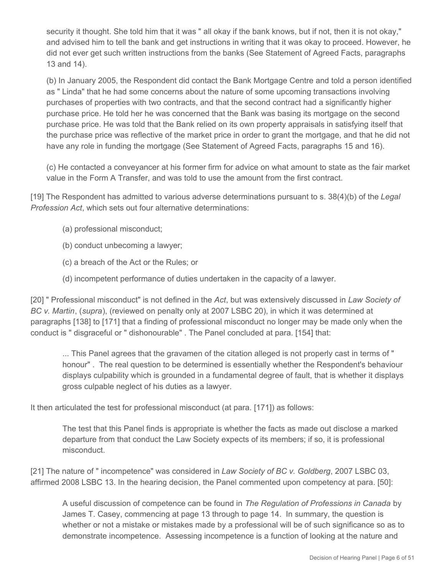security it thought. She told him that it was " all okay if the bank knows, but if not, then it is not okay," and advised him to tell the bank and get instructions in writing that it was okay to proceed. However, he did not ever get such written instructions from the banks (See Statement of Agreed Facts, paragraphs 13 and 14).

(b) In January 2005, the Respondent did contact the Bank Mortgage Centre and told a person identified as " Linda" that he had some concerns about the nature of some upcoming transactions involving purchases of properties with two contracts, and that the second contract had a significantly higher purchase price. He told her he was concerned that the Bank was basing its mortgage on the second purchase price. He was told that the Bank relied on its own property appraisals in satisfying itself that the purchase price was reflective of the market price in order to grant the mortgage, and that he did not have any role in funding the mortgage (See Statement of Agreed Facts, paragraphs 15 and 16).

(c) He contacted a conveyancer at his former firm for advice on what amount to state as the fair market value in the Form A Transfer, and was told to use the amount from the first contract.

[19] The Respondent has admitted to various adverse determinations pursuant to s. 38(4)(b) of the *Legal Profession Act*, which sets out four alternative determinations:

- (a) professional misconduct;
- (b) conduct unbecoming a lawyer;
- (c) a breach of the Act or the Rules; or
- (d) incompetent performance of duties undertaken in the capacity of a lawyer.

[20] " Professional misconduct" is not defined in the *Act*, but was extensively discussed in *Law Society of BC v. Martin*, (*supra*), (reviewed on penalty only at 2007 LSBC 20), in which it was determined at paragraphs [138] to [171] that a finding of professional misconduct no longer may be made only when the conduct is " disgraceful or " dishonourable" . The Panel concluded at para. [154] that:

... This Panel agrees that the gravamen of the citation alleged is not properly cast in terms of " honour" . The real question to be determined is essentially whether the Respondent's behaviour displays culpability which is grounded in a fundamental degree of fault, that is whether it displays gross culpable neglect of his duties as a lawyer.

It then articulated the test for professional misconduct (at para. [171]) as follows:

The test that this Panel finds is appropriate is whether the facts as made out disclose a marked departure from that conduct the Law Society expects of its members; if so, it is professional misconduct.

[21] The nature of " incompetence" was considered in *Law Society of BC v. Goldberg*, 2007 LSBC 03, affirmed 2008 LSBC 13. In the hearing decision, the Panel commented upon competency at para. [50]:

A useful discussion of competence can be found in *The Regulation of Professions in Canada* by James T. Casey, commencing at page 13 through to page 14. In summary, the question is whether or not a mistake or mistakes made by a professional will be of such significance so as to demonstrate incompetence. Assessing incompetence is a function of looking at the nature and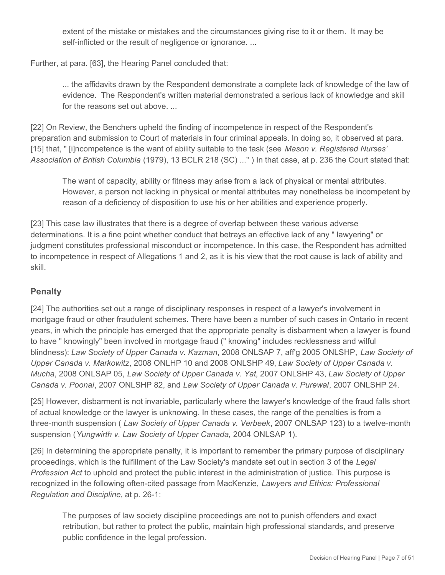extent of the mistake or mistakes and the circumstances giving rise to it or them. It may be self-inflicted or the result of negligence or ignorance. ...

Further, at para. [63], the Hearing Panel concluded that:

... the affidavits drawn by the Respondent demonstrate a complete lack of knowledge of the law of evidence. The Respondent's written material demonstrated a serious lack of knowledge and skill for the reasons set out above. ...

[22] On Review, the Benchers upheld the finding of incompetence in respect of the Respondent's preparation and submission to Court of materials in four criminal appeals. In doing so, it observed at para. [15] that, " [i]ncompetence is the want of ability suitable to the task (see *Mason v. Registered Nurses' Association of British Columbia* (1979), 13 BCLR 218 (SC) ..." ) In that case, at p. 236 the Court stated that:

The want of capacity, ability or fitness may arise from a lack of physical or mental attributes. However, a person not lacking in physical or mental attributes may nonetheless be incompetent by reason of a deficiency of disposition to use his or her abilities and experience properly.

[23] This case law illustrates that there is a degree of overlap between these various adverse determinations. It is a fine point whether conduct that betrays an effective lack of any " lawyering" or judgment constitutes professional misconduct or incompetence. In this case, the Respondent has admitted to incompetence in respect of Allegations 1 and 2, as it is his view that the root cause is lack of ability and skill.

# **Penalty**

[24] The authorities set out a range of disciplinary responses in respect of a lawyer's involvement in mortgage fraud or other fraudulent schemes. There have been a number of such cases in Ontario in recent years, in which the principle has emerged that the appropriate penalty is disbarment when a lawyer is found to have " knowingly" been involved in mortgage fraud (" knowing" includes recklessness and wilful blindness): *Law Society of Upper Canada v. Kazman*, 2008 ONLSAP 7, aff'g 2005 ONLSHP, *Law Society of Upper Canada v. Markowitz*, 2008 ONLHP 10 and 2008 ONLSHP 49, *Law Society of Upper Canada v. Mucha*, 2008 ONLSAP 05, *Law Society of Upper Canada v. Yat*, 2007 ONLSHP 43, *Law Society of Upper Canada v. Poonai*, 2007 ONLSHP 82, and *Law Society of Upper Canada v. Purewal*, 2007 ONLSHP 24.

[25] However, disbarment is not invariable, particularly where the lawyer's knowledge of the fraud falls short of actual knowledge or the lawyer is unknowing. In these cases, the range of the penalties is from a three-month suspension ( *Law Society of Upper Canada v. Verbeek*, 2007 ONLSAP 123) to a twelve-month suspension (*Yungwirth v. Law Society of Upper Canada,* 2004 ONLSAP 1).

[26] In determining the appropriate penalty, it is important to remember the primary purpose of disciplinary proceedings, which is the fulfillment of the Law Society's mandate set out in section 3 of the *Legal Profession Act* to uphold and protect the public interest in the administration of justice. This purpose is recognized in the following often-cited passage from MacKenzie, *Lawyers and Ethics: Professional Regulation and Discipline*, at p. 26-1:

The purposes of law society discipline proceedings are not to punish offenders and exact retribution, but rather to protect the public, maintain high professional standards, and preserve public confidence in the legal profession.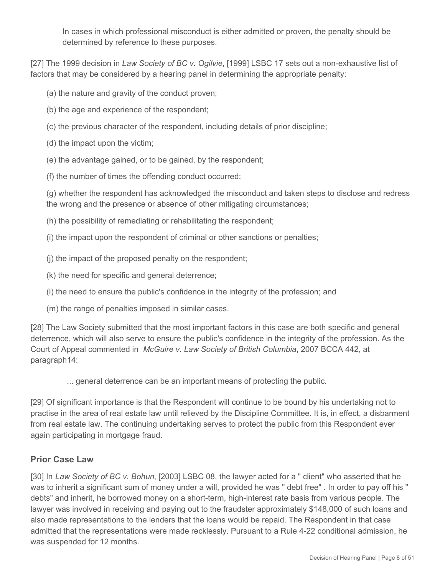In cases in which professional misconduct is either admitted or proven, the penalty should be determined by reference to these purposes.

[27] The 1999 decision in *Law Society of BC v. Ogilvie*, [1999] LSBC 17 sets out a non-exhaustive list of factors that may be considered by a hearing panel in determining the appropriate penalty:

- (a) the nature and gravity of the conduct proven;
- (b) the age and experience of the respondent;
- (c) the previous character of the respondent, including details of prior discipline;
- (d) the impact upon the victim;
- (e) the advantage gained, or to be gained, by the respondent;
- (f) the number of times the offending conduct occurred;

(g) whether the respondent has acknowledged the misconduct and taken steps to disclose and redress the wrong and the presence or absence of other mitigating circumstances;

(h) the possibility of remediating or rehabilitating the respondent;

(i) the impact upon the respondent of criminal or other sanctions or penalties;

- (j) the impact of the proposed penalty on the respondent;
- (k) the need for specific and general deterrence;
- (l) the need to ensure the public's confidence in the integrity of the profession; and
- (m) the range of penalties imposed in similar cases.

[28] The Law Society submitted that the most important factors in this case are both specific and general deterrence, which will also serve to ensure the public's confidence in the integrity of the profession. As the Court of Appeal commented in *McGuire v. Law Society of British Columbia*, 2007 BCCA 442, at paragraph14:

... general deterrence can be an important means of protecting the public.

[29] Of significant importance is that the Respondent will continue to be bound by his undertaking not to practise in the area of real estate law until relieved by the Discipline Committee. It is, in effect, a disbarment from real estate law. The continuing undertaking serves to protect the public from this Respondent ever again participating in mortgage fraud.

# **Prior Case Law**

[30] In *Law Society of BC v. Bohun*, [2003] LSBC 08, the lawyer acted for a " client" who asserted that he was to inherit a significant sum of money under a will, provided he was " debt free" . In order to pay off his " debts" and inherit, he borrowed money on a short-term, high-interest rate basis from various people. The lawyer was involved in receiving and paying out to the fraudster approximately \$148,000 of such loans and also made representations to the lenders that the loans would be repaid. The Respondent in that case admitted that the representations were made recklessly. Pursuant to a Rule 4-22 conditional admission, he was suspended for 12 months.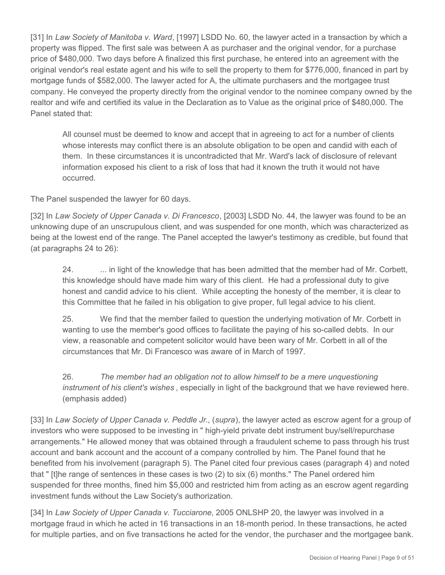[31] In *Law Society of Manitoba v. Ward*, [1997] LSDD No. 60, the lawyer acted in a transaction by which a property was flipped. The first sale was between A as purchaser and the original vendor, for a purchase price of \$480,000. Two days before A finalized this first purchase, he entered into an agreement with the original vendor's real estate agent and his wife to sell the property to them for \$776,000, financed in part by mortgage funds of \$582,000. The lawyer acted for A, the ultimate purchasers and the mortgagee trust company. He conveyed the property directly from the original vendor to the nominee company owned by the realtor and wife and certified its value in the Declaration as to Value as the original price of \$480,000. The Panel stated that:

All counsel must be deemed to know and accept that in agreeing to act for a number of clients whose interests may conflict there is an absolute obligation to be open and candid with each of them. In these circumstances it is uncontradicted that Mr. Ward's lack of disclosure of relevant information exposed his client to a risk of loss that had it known the truth it would not have occurred.

The Panel suspended the lawyer for 60 days.

[32] In *Law Society of Upper Canada v. Di Francesco*, [2003] LSDD No. 44, the lawyer was found to be an unknowing dupe of an unscrupulous client, and was suspended for one month, which was characterized as being at the lowest end of the range. The Panel accepted the lawyer's testimony as credible, but found that (at paragraphs 24 to 26):

24. ... in light of the knowledge that has been admitted that the member had of Mr. Corbett, this knowledge should have made him wary of this client. He had a professional duty to give honest and candid advice to his client. While accepting the honesty of the member, it is clear to this Committee that he failed in his obligation to give proper, full legal advice to his client.

25. We find that the member failed to question the underlying motivation of Mr. Corbett in wanting to use the member's good offices to facilitate the paying of his so-called debts. In our view, a reasonable and competent solicitor would have been wary of Mr. Corbett in all of the circumstances that Mr. Di Francesco was aware of in March of 1997.

26. *The member had an obligation not to allow himself to be a mere unquestioning instrument of his client's wishes* , especially in light of the background that we have reviewed here. (emphasis added)

[33] In *Law Society of Upper Canada v. Peddle Jr.*, (*supra*), the lawyer acted as escrow agent for a group of investors who were supposed to be investing in " high-yield private debt instrument buy/sell/repurchase arrangements." He allowed money that was obtained through a fraudulent scheme to pass through his trust account and bank account and the account of a company controlled by him. The Panel found that he benefited from his involvement (paragraph 5). The Panel cited four previous cases (paragraph 4) and noted that " [t]he range of sentences in these cases is two (2) to six (6) months." The Panel ordered him suspended for three months, fined him \$5,000 and restricted him from acting as an escrow agent regarding investment funds without the Law Society's authorization.

[34] In *Law Society of Upper Canada v. Tucciarone*, 2005 ONLSHP 20, the lawyer was involved in a mortgage fraud in which he acted in 16 transactions in an 18-month period. In these transactions, he acted for multiple parties, and on five transactions he acted for the vendor, the purchaser and the mortgagee bank.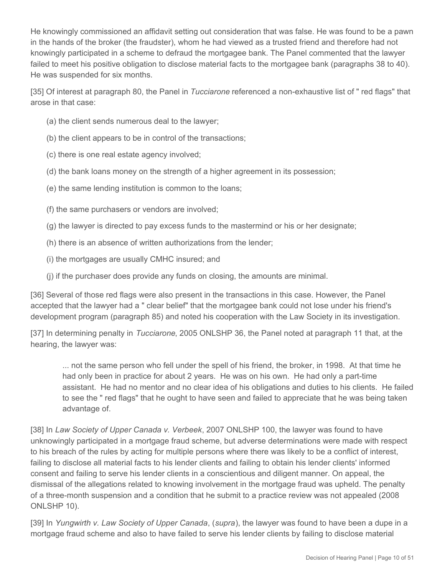He knowingly commissioned an affidavit setting out consideration that was false. He was found to be a pawn in the hands of the broker (the fraudster), whom he had viewed as a trusted friend and therefore had not knowingly participated in a scheme to defraud the mortgagee bank. The Panel commented that the lawyer failed to meet his positive obligation to disclose material facts to the mortgagee bank (paragraphs 38 to 40). He was suspended for six months.

[35] Of interest at paragraph 80, the Panel in *Tucciarone* referenced a non-exhaustive list of " red flags" that arose in that case:

- (a) the client sends numerous deal to the lawyer;
- (b) the client appears to be in control of the transactions;
- (c) there is one real estate agency involved;
- (d) the bank loans money on the strength of a higher agreement in its possession;
- (e) the same lending institution is common to the loans;
- (f) the same purchasers or vendors are involved;
- (g) the lawyer is directed to pay excess funds to the mastermind or his or her designate;
- (h) there is an absence of written authorizations from the lender;
- (i) the mortgages are usually CMHC insured; and
- (j) if the purchaser does provide any funds on closing, the amounts are minimal.

[36] Several of those red flags were also present in the transactions in this case. However, the Panel accepted that the lawyer had a " clear belief" that the mortgagee bank could not lose under his friend's development program (paragraph 85) and noted his cooperation with the Law Society in its investigation.

[37] In determining penalty in *Tucciarone*, 2005 ONLSHP 36, the Panel noted at paragraph 11 that, at the hearing, the lawyer was:

... not the same person who fell under the spell of his friend, the broker, in 1998. At that time he had only been in practice for about 2 years. He was on his own. He had only a part-time assistant. He had no mentor and no clear idea of his obligations and duties to his clients. He failed to see the " red flags" that he ought to have seen and failed to appreciate that he was being taken advantage of.

[38] In *Law Society of Upper Canada v. Verbeek*, 2007 ONLSHP 100, the lawyer was found to have unknowingly participated in a mortgage fraud scheme, but adverse determinations were made with respect to his breach of the rules by acting for multiple persons where there was likely to be a conflict of interest, failing to disclose all material facts to his lender clients and failing to obtain his lender clients' informed consent and failing to serve his lender clients in a conscientious and diligent manner. On appeal, the dismissal of the allegations related to knowing involvement in the mortgage fraud was upheld. The penalty of a three-month suspension and a condition that he submit to a practice review was not appealed (2008 ONLSHP 10).

[39] In *Yungwirth v. Law Society of Upper Canada*, (*supra*), the lawyer was found to have been a dupe in a mortgage fraud scheme and also to have failed to serve his lender clients by failing to disclose material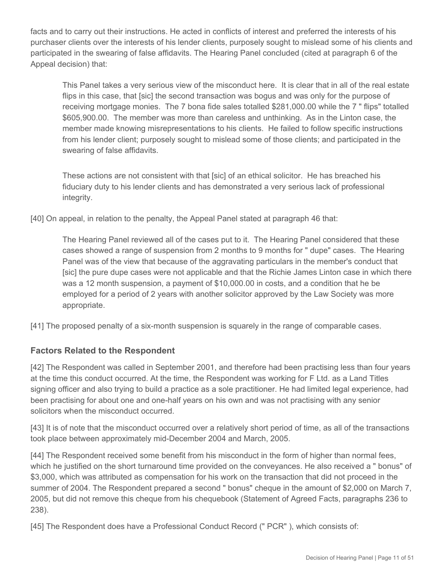facts and to carry out their instructions. He acted in conflicts of interest and preferred the interests of his purchaser clients over the interests of his lender clients, purposely sought to mislead some of his clients and participated in the swearing of false affidavits. The Hearing Panel concluded (cited at paragraph 6 of the Appeal decision) that:

This Panel takes a very serious view of the misconduct here. It is clear that in all of the real estate flips in this case, that [sic] the second transaction was bogus and was only for the purpose of receiving mortgage monies. The 7 bona fide sales totalled \$281,000.00 while the 7 " flips" totalled \$605,900.00. The member was more than careless and unthinking. As in the Linton case, the member made knowing misrepresentations to his clients. He failed to follow specific instructions from his lender client; purposely sought to mislead some of those clients; and participated in the swearing of false affidavits.

These actions are not consistent with that [sic] of an ethical solicitor. He has breached his fiduciary duty to his lender clients and has demonstrated a very serious lack of professional integrity.

[40] On appeal, in relation to the penalty, the Appeal Panel stated at paragraph 46 that:

The Hearing Panel reviewed all of the cases put to it. The Hearing Panel considered that these cases showed a range of suspension from 2 months to 9 months for " dupe" cases. The Hearing Panel was of the view that because of the aggravating particulars in the member's conduct that [sic] the pure dupe cases were not applicable and that the Richie James Linton case in which there was a 12 month suspension, a payment of \$10,000.00 in costs, and a condition that he be employed for a period of 2 years with another solicitor approved by the Law Society was more appropriate.

[41] The proposed penalty of a six-month suspension is squarely in the range of comparable cases.

# **Factors Related to the Respondent**

[42] The Respondent was called in September 2001, and therefore had been practising less than four years at the time this conduct occurred. At the time, the Respondent was working for F Ltd. as a Land Titles signing officer and also trying to build a practice as a sole practitioner. He had limited legal experience, had been practising for about one and one-half years on his own and was not practising with any senior solicitors when the misconduct occurred.

[43] It is of note that the misconduct occurred over a relatively short period of time, as all of the transactions took place between approximately mid-December 2004 and March, 2005.

[44] The Respondent received some benefit from his misconduct in the form of higher than normal fees, which he justified on the short turnaround time provided on the conveyances. He also received a " bonus" of \$3,000, which was attributed as compensation for his work on the transaction that did not proceed in the summer of 2004. The Respondent prepared a second " bonus" cheque in the amount of \$2,000 on March 7, 2005, but did not remove this cheque from his chequebook (Statement of Agreed Facts, paragraphs 236 to 238).

[45] The Respondent does have a Professional Conduct Record (" PCR"), which consists of: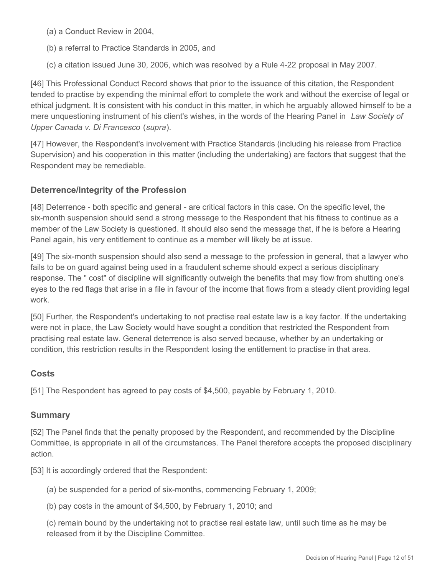(a) a Conduct Review in 2004,

- (b) a referral to Practice Standards in 2005, and
- (c) a citation issued June 30, 2006, which was resolved by a Rule 4-22 proposal in May 2007.

[46] This Professional Conduct Record shows that prior to the issuance of this citation, the Respondent tended to practise by expending the minimal effort to complete the work and without the exercise of legal or ethical judgment. It is consistent with his conduct in this matter, in which he arguably allowed himself to be a mere unquestioning instrument of his client's wishes, in the words of the Hearing Panel in *Law Society of Upper Canada v. Di Francesco* (*supra*).

[47] However, the Respondent's involvement with Practice Standards (including his release from Practice Supervision) and his cooperation in this matter (including the undertaking) are factors that suggest that the Respondent may be remediable.

## **Deterrence/Integrity of the Profession**

[48] Deterrence - both specific and general - are critical factors in this case. On the specific level, the six-month suspension should send a strong message to the Respondent that his fitness to continue as a member of the Law Society is questioned. It should also send the message that, if he is before a Hearing Panel again, his very entitlement to continue as a member will likely be at issue.

[49] The six-month suspension should also send a message to the profession in general, that a lawyer who fails to be on guard against being used in a fraudulent scheme should expect a serious disciplinary response. The " cost" of discipline will significantly outweigh the benefits that may flow from shutting one's eyes to the red flags that arise in a file in favour of the income that flows from a steady client providing legal work.

[50] Further, the Respondent's undertaking to not practise real estate law is a key factor. If the undertaking were not in place, the Law Society would have sought a condition that restricted the Respondent from practising real estate law. General deterrence is also served because, whether by an undertaking or condition, this restriction results in the Respondent losing the entitlement to practise in that area.

## **Costs**

[51] The Respondent has agreed to pay costs of \$4,500, payable by February 1, 2010.

## **Summary**

[52] The Panel finds that the penalty proposed by the Respondent, and recommended by the Discipline Committee, is appropriate in all of the circumstances. The Panel therefore accepts the proposed disciplinary action.

[53] It is accordingly ordered that the Respondent:

(a) be suspended for a period of six-months, commencing February 1, 2009;

(b) pay costs in the amount of \$4,500, by February 1, 2010; and

(c) remain bound by the undertaking not to practise real estate law, until such time as he may be released from it by the Discipline Committee.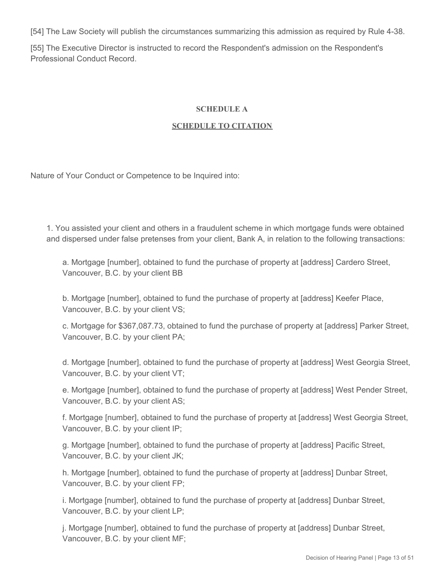[54] The Law Society will publish the circumstances summarizing this admission as required by Rule 4-38.

[55] The Executive Director is instructed to record the Respondent's admission on the Respondent's Professional Conduct Record.

#### **SCHEDULE A**

#### **SCHEDULE TO CITATION**

Nature of Your Conduct or Competence to be Inquired into:

1. You assisted your client and others in a fraudulent scheme in which mortgage funds were obtained and dispersed under false pretenses from your client, Bank A, in relation to the following transactions:

a. Mortgage [number], obtained to fund the purchase of property at [address] Cardero Street, Vancouver, B.C. by your client BB

b. Mortgage [number], obtained to fund the purchase of property at [address] Keefer Place, Vancouver, B.C. by your client VS;

c. Mortgage for \$367,087.73, obtained to fund the purchase of property at [address] Parker Street, Vancouver, B.C. by your client PA;

d. Mortgage [number], obtained to fund the purchase of property at [address] West Georgia Street, Vancouver, B.C. by your client VT;

e. Mortgage [number], obtained to fund the purchase of property at [address] West Pender Street, Vancouver, B.C. by your client AS;

f. Mortgage [number], obtained to fund the purchase of property at [address] West Georgia Street, Vancouver, B.C. by your client IP;

g. Mortgage [number], obtained to fund the purchase of property at [address] Pacific Street, Vancouver, B.C. by your client JK;

h. Mortgage [number], obtained to fund the purchase of property at [address] Dunbar Street, Vancouver, B.C. by your client FP;

i. Mortgage [number], obtained to fund the purchase of property at [address] Dunbar Street, Vancouver, B.C. by your client LP;

j. Mortgage [number], obtained to fund the purchase of property at [address] Dunbar Street, Vancouver, B.C. by your client MF;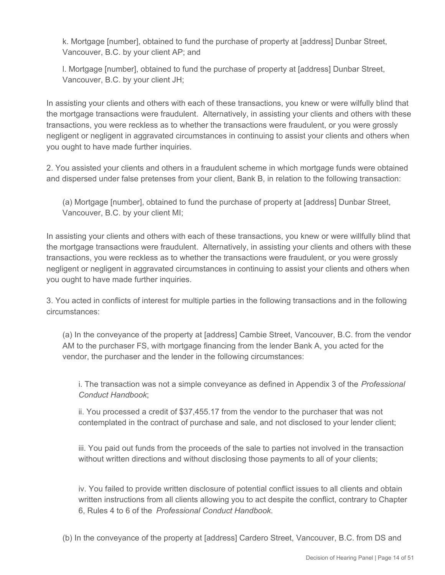k. Mortgage [number], obtained to fund the purchase of property at [address] Dunbar Street, Vancouver, B.C. by your client AP; and

l. Mortgage [number], obtained to fund the purchase of property at [address] Dunbar Street, Vancouver, B.C. by your client JH;

In assisting your clients and others with each of these transactions, you knew or were wilfully blind that the mortgage transactions were fraudulent. Alternatively, in assisting your clients and others with these transactions, you were reckless as to whether the transactions were fraudulent, or you were grossly negligent or negligent in aggravated circumstances in continuing to assist your clients and others when you ought to have made further inquiries.

2. You assisted your clients and others in a fraudulent scheme in which mortgage funds were obtained and dispersed under false pretenses from your client, Bank B, in relation to the following transaction:

(a) Mortgage [number], obtained to fund the purchase of property at [address] Dunbar Street, Vancouver, B.C. by your client MI;

In assisting your clients and others with each of these transactions, you knew or were willfully blind that the mortgage transactions were fraudulent. Alternatively, in assisting your clients and others with these transactions, you were reckless as to whether the transactions were fraudulent, or you were grossly negligent or negligent in aggravated circumstances in continuing to assist your clients and others when you ought to have made further inquiries.

3. You acted in conflicts of interest for multiple parties in the following transactions and in the following circumstances:

(a) In the conveyance of the property at [address] Cambie Street, Vancouver, B.C. from the vendor AM to the purchaser FS, with mortgage financing from the lender Bank A, you acted for the vendor, the purchaser and the lender in the following circumstances:

i. The transaction was not a simple conveyance as defined in Appendix 3 of the *Professional Conduct Handbook*;

ii. You processed a credit of \$37,455.17 from the vendor to the purchaser that was not contemplated in the contract of purchase and sale, and not disclosed to your lender client;

iii. You paid out funds from the proceeds of the sale to parties not involved in the transaction without written directions and without disclosing those payments to all of your clients;

iv. You failed to provide written disclosure of potential conflict issues to all clients and obtain written instructions from all clients allowing you to act despite the conflict, contrary to Chapter 6, Rules 4 to 6 of the *Professional Conduct Handbook.*

(b) In the conveyance of the property at [address] Cardero Street, Vancouver, B.C. from DS and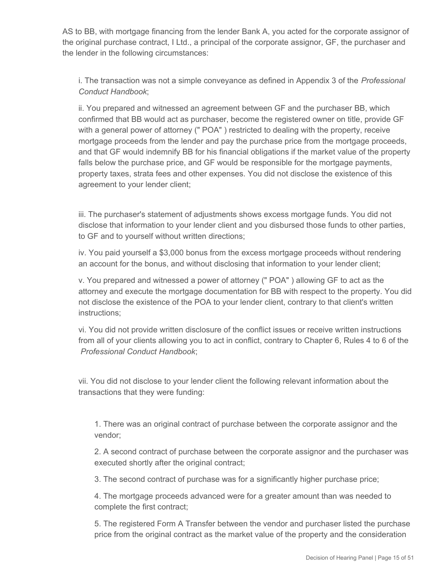AS to BB, with mortgage financing from the lender Bank A, you acted for the corporate assignor of the original purchase contract, I Ltd., a principal of the corporate assignor, GF, the purchaser and the lender in the following circumstances:

i. The transaction was not a simple conveyance as defined in Appendix 3 of the *Professional Conduct Handbook*;

ii. You prepared and witnessed an agreement between GF and the purchaser BB, which confirmed that BB would act as purchaser, become the registered owner on title, provide GF with a general power of attorney (" POA" ) restricted to dealing with the property, receive mortgage proceeds from the lender and pay the purchase price from the mortgage proceeds, and that GF would indemnify BB for his financial obligations if the market value of the property falls below the purchase price, and GF would be responsible for the mortgage payments, property taxes, strata fees and other expenses. You did not disclose the existence of this agreement to your lender client;

iii. The purchaser's statement of adjustments shows excess mortgage funds. You did not disclose that information to your lender client and you disbursed those funds to other parties, to GF and to yourself without written directions;

iv. You paid yourself a \$3,000 bonus from the excess mortgage proceeds without rendering an account for the bonus, and without disclosing that information to your lender client;

v. You prepared and witnessed a power of attorney (" POA" ) allowing GF to act as the attorney and execute the mortgage documentation for BB with respect to the property. You did not disclose the existence of the POA to your lender client, contrary to that client's written instructions;

vi. You did not provide written disclosure of the conflict issues or receive written instructions from all of your clients allowing you to act in conflict, contrary to Chapter 6, Rules 4 to 6 of the *Professional Conduct Handbook*;

vii. You did not disclose to your lender client the following relevant information about the transactions that they were funding:

1. There was an original contract of purchase between the corporate assignor and the vendor;

2. A second contract of purchase between the corporate assignor and the purchaser was executed shortly after the original contract;

3. The second contract of purchase was for a significantly higher purchase price;

4. The mortgage proceeds advanced were for a greater amount than was needed to complete the first contract;

5. The registered Form A Transfer between the vendor and purchaser listed the purchase price from the original contract as the market value of the property and the consideration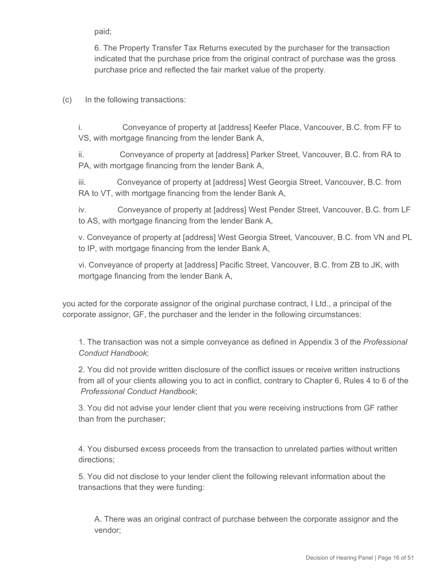paid;

6. The Property Transfer Tax Returns executed by the purchaser for the transaction indicated that the purchase price from the original contract of purchase was the gross purchase price and reflected the fair market value of the property.

(c) In the following transactions:

i. Conveyance of property at [address] Keefer Place, Vancouver, B.C. from FF to VS, with mortgage financing from the lender Bank A,

ii. Conveyance of property at [address] Parker Street, Vancouver, B.C. from RA to PA, with mortgage financing from the lender Bank A,

iii. Conveyance of property at [address] West Georgia Street, Vancouver, B.C. from RA to VT, with mortgage financing from the lender Bank A,

iv. Conveyance of property at [address] West Pender Street, Vancouver, B.C. from LF to AS, with mortgage financing from the lender Bank A,

v. Conveyance of property at [address] West Georgia Street, Vancouver, B.C. from VN and PL to IP, with mortgage financing from the lender Bank A,

vi. Conveyance of property at [address] Pacific Street, Vancouver, B.C. from ZB to JK, with mortgage financing from the lender Bank A,

you acted for the corporate assignor of the original purchase contract, I Ltd., a principal of the corporate assignor, GF, the purchaser and the lender in the following circumstances:

1. The transaction was not a simple conveyance as defined in Appendix 3 of the *Professional Conduct Handbook*;

2. You did not provide written disclosure of the conflict issues or receive written instructions from all of your clients allowing you to act in conflict, contrary to Chapter 6, Rules 4 to 6 of the *Professional Conduct Handbook*;

3. You did not advise your lender client that you were receiving instructions from GF rather than from the purchaser;

4. You disbursed excess proceeds from the transaction to unrelated parties without written directions;

5. You did not disclose to your lender client the following relevant information about the transactions that they were funding:

A. There was an original contract of purchase between the corporate assignor and the vendor;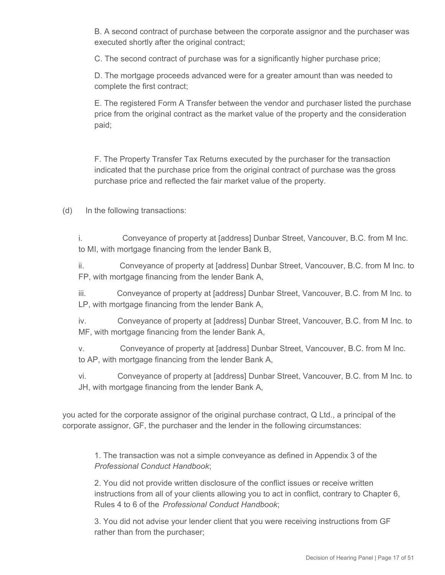B. A second contract of purchase between the corporate assignor and the purchaser was executed shortly after the original contract;

C. The second contract of purchase was for a significantly higher purchase price;

D. The mortgage proceeds advanced were for a greater amount than was needed to complete the first contract;

E. The registered Form A Transfer between the vendor and purchaser listed the purchase price from the original contract as the market value of the property and the consideration paid;

F. The Property Transfer Tax Returns executed by the purchaser for the transaction indicated that the purchase price from the original contract of purchase was the gross purchase price and reflected the fair market value of the property.

(d) In the following transactions:

i. Conveyance of property at [address] Dunbar Street, Vancouver, B.C. from M Inc. to MI, with mortgage financing from the lender Bank B,

ii. Conveyance of property at [address] Dunbar Street, Vancouver, B.C. from M Inc. to FP, with mortgage financing from the lender Bank A,

iii. Conveyance of property at [address] Dunbar Street, Vancouver, B.C. from M Inc. to LP, with mortgage financing from the lender Bank A,

iv. Conveyance of property at [address] Dunbar Street, Vancouver, B.C. from M Inc. to MF, with mortgage financing from the lender Bank A,

v. Conveyance of property at [address] Dunbar Street, Vancouver, B.C. from M Inc. to AP, with mortgage financing from the lender Bank A,

vi. Conveyance of property at [address] Dunbar Street, Vancouver, B.C. from M Inc. to JH, with mortgage financing from the lender Bank A,

you acted for the corporate assignor of the original purchase contract, Q Ltd., a principal of the corporate assignor, GF, the purchaser and the lender in the following circumstances:

1. The transaction was not a simple conveyance as defined in Appendix 3 of the *Professional Conduct Handbook*;

2. You did not provide written disclosure of the conflict issues or receive written instructions from all of your clients allowing you to act in conflict, contrary to Chapter 6, Rules 4 to 6 of the *Professional Conduct Handbook*;

3. You did not advise your lender client that you were receiving instructions from GF rather than from the purchaser;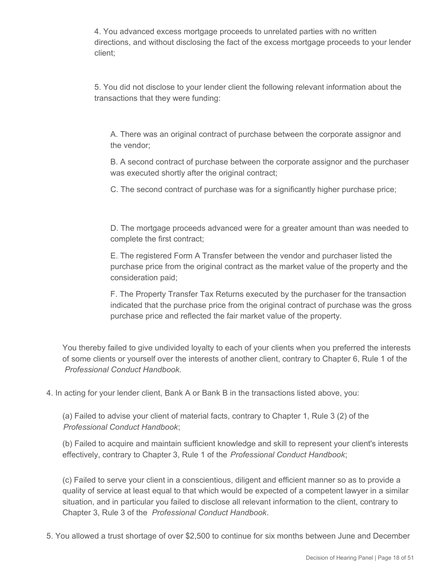4. You advanced excess mortgage proceeds to unrelated parties with no written directions, and without disclosing the fact of the excess mortgage proceeds to your lender client;

5. You did not disclose to your lender client the following relevant information about the transactions that they were funding:

A. There was an original contract of purchase between the corporate assignor and the vendor;

B. A second contract of purchase between the corporate assignor and the purchaser was executed shortly after the original contract;

C. The second contract of purchase was for a significantly higher purchase price;

D. The mortgage proceeds advanced were for a greater amount than was needed to complete the first contract;

E. The registered Form A Transfer between the vendor and purchaser listed the purchase price from the original contract as the market value of the property and the consideration paid;

F. The Property Transfer Tax Returns executed by the purchaser for the transaction indicated that the purchase price from the original contract of purchase was the gross purchase price and reflected the fair market value of the property.

You thereby failed to give undivided loyalty to each of your clients when you preferred the interests of some clients or yourself over the interests of another client, contrary to Chapter 6, Rule 1 of the *Professional Conduct Handbook.*

4. In acting for your lender client, Bank A or Bank B in the transactions listed above, you:

(a) Failed to advise your client of material facts, contrary to Chapter 1, Rule 3 (2) of the *Professional Conduct Handbook*;

(b) Failed to acquire and maintain sufficient knowledge and skill to represent your client's interests effectively, contrary to Chapter 3, Rule 1 of the *Professional Conduct Handbook*;

(c) Failed to serve your client in a conscientious, diligent and efficient manner so as to provide a quality of service at least equal to that which would be expected of a competent lawyer in a similar situation, and in particular you failed to disclose all relevant information to the client, contrary to Chapter 3, Rule 3 of the *Professional Conduct Handbook*.

5. You allowed a trust shortage of over \$2,500 to continue for six months between June and December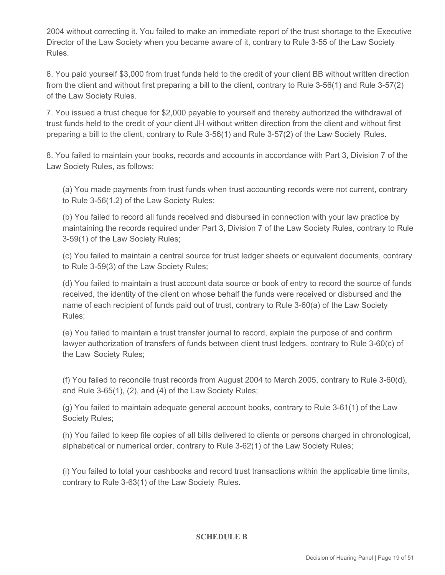2004 without correcting it. You failed to make an immediate report of the trust shortage to the Executive Director of the Law Society when you became aware of it, contrary to Rule 3-55 of the Law Society Rules.

6. You paid yourself \$3,000 from trust funds held to the credit of your client BB without written direction from the client and without first preparing a bill to the client, contrary to Rule 3-56(1) and Rule 3-57(2) of the Law Society Rules.

7. You issued a trust cheque for \$2,000 payable to yourself and thereby authorized the withdrawal of trust funds held to the credit of your client JH without written direction from the client and without first preparing a bill to the client, contrary to Rule 3-56(1) and Rule 3-57(2) of the Law Society Rules.

8. You failed to maintain your books, records and accounts in accordance with Part 3, Division 7 of the Law Society Rules, as follows:

(a) You made payments from trust funds when trust accounting records were not current, contrary to Rule 3-56(1.2) of the Law Society Rules;

(b) You failed to record all funds received and disbursed in connection with your law practice by maintaining the records required under Part 3, Division 7 of the Law Society Rules, contrary to Rule 3-59(1) of the Law Society Rules;

(c) You failed to maintain a central source for trust ledger sheets or equivalent documents, contrary to Rule 3-59(3) of the Law Society Rules;

(d) You failed to maintain a trust account data source or book of entry to record the source of funds received, the identity of the client on whose behalf the funds were received or disbursed and the name of each recipient of funds paid out of trust, contrary to Rule 3-60(a) of the Law Society Rules;

(e) You failed to maintain a trust transfer journal to record, explain the purpose of and confirm lawyer authorization of transfers of funds between client trust ledgers, contrary to Rule 3-60(c) of the Law Society Rules;

(f) You failed to reconcile trust records from August 2004 to March 2005, contrary to Rule 3-60(d), and Rule 3-65(1), (2), and (4) of the Law Society Rules;

(g) You failed to maintain adequate general account books, contrary to Rule 3-61(1) of the Law Society Rules;

(h) You failed to keep file copies of all bills delivered to clients or persons charged in chronological, alphabetical or numerical order, contrary to Rule 3-62(1) of the Law Society Rules;

(i) You failed to total your cashbooks and record trust transactions within the applicable time limits, contrary to Rule 3-63(1) of the Law Society Rules.

**SCHEDULE B**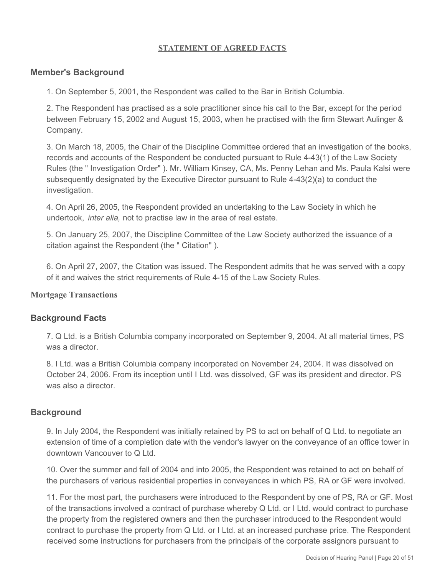#### **STATEMENT OF AGREED FACTS**

#### **Member's Background**

1. On September 5, 2001, the Respondent was called to the Bar in British Columbia.

2. The Respondent has practised as a sole practitioner since his call to the Bar, except for the period between February 15, 2002 and August 15, 2003, when he practised with the firm Stewart Aulinger & Company.

3. On March 18, 2005, the Chair of the Discipline Committee ordered that an investigation of the books, records and accounts of the Respondent be conducted pursuant to Rule 4-43(1) of the Law Society Rules (the " Investigation Order" ). Mr. William Kinsey, CA, Ms. Penny Lehan and Ms. Paula Kalsi were subsequently designated by the Executive Director pursuant to Rule 4-43(2)(a) to conduct the investigation.

4. On April 26, 2005, the Respondent provided an undertaking to the Law Society in which he undertook, *inter alia,* not to practise law in the area of real estate.

5. On January 25, 2007, the Discipline Committee of the Law Society authorized the issuance of a citation against the Respondent (the " Citation" ).

6. On April 27, 2007, the Citation was issued. The Respondent admits that he was served with a copy of it and waives the strict requirements of Rule 4-15 of the Law Society Rules.

#### **Mortgage Transactions**

#### **Background Facts**

7. Q Ltd. is a British Columbia company incorporated on September 9, 2004. At all material times, PS was a director.

8. I Ltd. was a British Columbia company incorporated on November 24, 2004. It was dissolved on October 24, 2006. From its inception until I Ltd. was dissolved, GF was its president and director. PS was also a director.

#### **Background**

9. In July 2004, the Respondent was initially retained by PS to act on behalf of Q Ltd. to negotiate an extension of time of a completion date with the vendor's lawyer on the conveyance of an office tower in downtown Vancouver to Q Ltd.

10. Over the summer and fall of 2004 and into 2005, the Respondent was retained to act on behalf of the purchasers of various residential properties in conveyances in which PS, RA or GF were involved.

11. For the most part, the purchasers were introduced to the Respondent by one of PS, RA or GF. Most of the transactions involved a contract of purchase whereby Q Ltd. or I Ltd. would contract to purchase the property from the registered owners and then the purchaser introduced to the Respondent would contract to purchase the property from Q Ltd. or I Ltd. at an increased purchase price. The Respondent received some instructions for purchasers from the principals of the corporate assignors pursuant to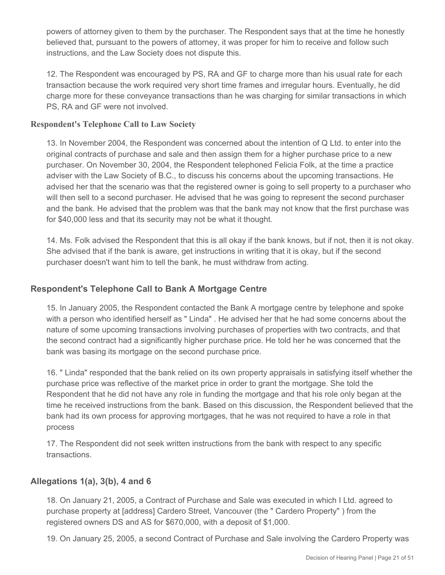powers of attorney given to them by the purchaser. The Respondent says that at the time he honestly believed that, pursuant to the powers of attorney, it was proper for him to receive and follow such instructions, and the Law Society does not dispute this.

12. The Respondent was encouraged by PS, RA and GF to charge more than his usual rate for each transaction because the work required very short time frames and irregular hours. Eventually, he did charge more for these conveyance transactions than he was charging for similar transactions in which PS, RA and GF were not involved.

## **Respondent's Telephone Call to Law Society**

13. In November 2004, the Respondent was concerned about the intention of Q Ltd. to enter into the original contracts of purchase and sale and then assign them for a higher purchase price to a new purchaser. On November 30, 2004, the Respondent telephoned Felicia Folk, at the time a practice adviser with the Law Society of B.C., to discuss his concerns about the upcoming transactions. He advised her that the scenario was that the registered owner is going to sell property to a purchaser who will then sell to a second purchaser. He advised that he was going to represent the second purchaser and the bank. He advised that the problem was that the bank may not know that the first purchase was for \$40,000 less and that its security may not be what it thought.

14. Ms. Folk advised the Respondent that this is all okay if the bank knows, but if not, then it is not okay. She advised that if the bank is aware, get instructions in writing that it is okay, but if the second purchaser doesn't want him to tell the bank, he must withdraw from acting.

## **Respondent's Telephone Call to Bank A Mortgage Centre**

15. In January 2005, the Respondent contacted the Bank A mortgage centre by telephone and spoke with a person who identified herself as " Linda" . He advised her that he had some concerns about the nature of some upcoming transactions involving purchases of properties with two contracts, and that the second contract had a significantly higher purchase price. He told her he was concerned that the bank was basing its mortgage on the second purchase price.

16. " Linda" responded that the bank relied on its own property appraisals in satisfying itself whether the purchase price was reflective of the market price in order to grant the mortgage. She told the Respondent that he did not have any role in funding the mortgage and that his role only began at the time he received instructions from the bank. Based on this discussion, the Respondent believed that the bank had its own process for approving mortgages, that he was not required to have a role in that process

17. The Respondent did not seek written instructions from the bank with respect to any specific transactions.

## **Allegations 1(a), 3(b), 4 and 6**

18. On January 21, 2005, a Contract of Purchase and Sale was executed in which I Ltd. agreed to purchase property at [address] Cardero Street, Vancouver (the " Cardero Property" ) from the registered owners DS and AS for \$670,000, with a deposit of \$1,000.

19. On January 25, 2005, a second Contract of Purchase and Sale involving the Cardero Property was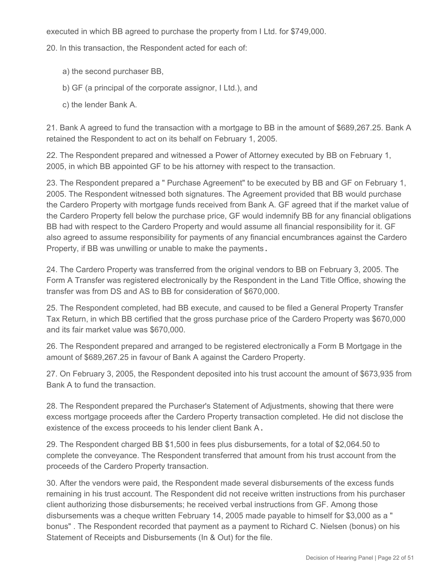executed in which BB agreed to purchase the property from I Ltd. for \$749,000.

20. In this transaction, the Respondent acted for each of:

- a) the second purchaser BB,
- b) GF (a principal of the corporate assignor, I Ltd.), and
- c) the lender Bank A.

21. Bank A agreed to fund the transaction with a mortgage to BB in the amount of \$689,267.25. Bank A retained the Respondent to act on its behalf on February 1, 2005.

22. The Respondent prepared and witnessed a Power of Attorney executed by BB on February 1, 2005, in which BB appointed GF to be his attorney with respect to the transaction.

23. The Respondent prepared a " Purchase Agreement" to be executed by BB and GF on February 1, 2005. The Respondent witnessed both signatures. The Agreement provided that BB would purchase the Cardero Property with mortgage funds received from Bank A. GF agreed that if the market value of the Cardero Property fell below the purchase price, GF would indemnify BB for any financial obligations BB had with respect to the Cardero Property and would assume all financial responsibility for it. GF also agreed to assume responsibility for payments of any financial encumbrances against the Cardero Property, if BB was unwilling or unable to make the payments **.**

24. The Cardero Property was transferred from the original vendors to BB on February 3, 2005. The Form A Transfer was registered electronically by the Respondent in the Land Title Office, showing the transfer was from DS and AS to BB for consideration of \$670,000.

25. The Respondent completed, had BB execute, and caused to be filed a General Property Transfer Tax Return, in which BB certified that the gross purchase price of the Cardero Property was \$670,000 and its fair market value was \$670,000.

26. The Respondent prepared and arranged to be registered electronically a Form B Mortgage in the amount of \$689,267.25 in favour of Bank A against the Cardero Property.

27. On February 3, 2005, the Respondent deposited into his trust account the amount of \$673,935 from Bank A to fund the transaction.

28. The Respondent prepared the Purchaser's Statement of Adjustments, showing that there were excess mortgage proceeds after the Cardero Property transaction completed. He did not disclose the existence of the excess proceeds to his lender client Bank A **.**

29. The Respondent charged BB \$1,500 in fees plus disbursements, for a total of \$2,064.50 to complete the conveyance. The Respondent transferred that amount from his trust account from the proceeds of the Cardero Property transaction.

30. After the vendors were paid, the Respondent made several disbursements of the excess funds remaining in his trust account. The Respondent did not receive written instructions from his purchaser client authorizing those disbursements; he received verbal instructions from GF. Among those disbursements was a cheque written February 14, 2005 made payable to himself for \$3,000 as a " bonus" . The Respondent recorded that payment as a payment to Richard C. Nielsen (bonus) on his Statement of Receipts and Disbursements (In & Out) for the file.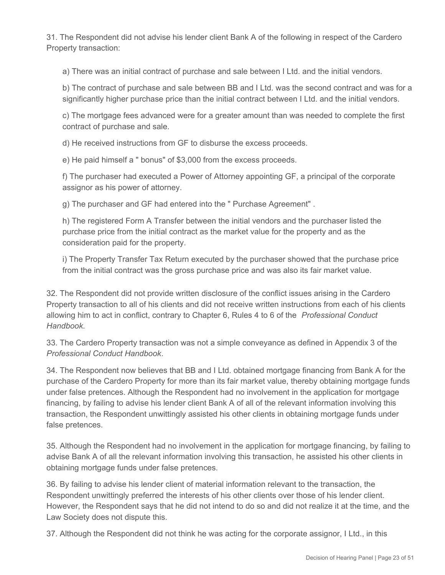31. The Respondent did not advise his lender client Bank A of the following in respect of the Cardero Property transaction:

a) There was an initial contract of purchase and sale between I Ltd. and the initial vendors.

b) The contract of purchase and sale between BB and I Ltd. was the second contract and was for a significantly higher purchase price than the initial contract between I Ltd. and the initial vendors.

c) The mortgage fees advanced were for a greater amount than was needed to complete the first contract of purchase and sale.

d) He received instructions from GF to disburse the excess proceeds.

e) He paid himself a " bonus" of \$3,000 from the excess proceeds.

f) The purchaser had executed a Power of Attorney appointing GF, a principal of the corporate assignor as his power of attorney.

g) The purchaser and GF had entered into the " Purchase Agreement" .

h) The registered Form A Transfer between the initial vendors and the purchaser listed the purchase price from the initial contract as the market value for the property and as the consideration paid for the property.

i) The Property Transfer Tax Return executed by the purchaser showed that the purchase price from the initial contract was the gross purchase price and was also its fair market value.

32. The Respondent did not provide written disclosure of the conflict issues arising in the Cardero Property transaction to all of his clients and did not receive written instructions from each of his clients allowing him to act in conflict, contrary to Chapter 6, Rules 4 to 6 of the *Professional Conduct Handbook*.

33. The Cardero Property transaction was not a simple conveyance as defined in Appendix 3 of the *Professional Conduct Handbook*.

34. The Respondent now believes that BB and I Ltd. obtained mortgage financing from Bank A for the purchase of the Cardero Property for more than its fair market value, thereby obtaining mortgage funds under false pretences. Although the Respondent had no involvement in the application for mortgage financing, by failing to advise his lender client Bank A of all of the relevant information involving this transaction, the Respondent unwittingly assisted his other clients in obtaining mortgage funds under false pretences.

35. Although the Respondent had no involvement in the application for mortgage financing, by failing to advise Bank A of all the relevant information involving this transaction, he assisted his other clients in obtaining mortgage funds under false pretences.

36. By failing to advise his lender client of material information relevant to the transaction, the Respondent unwittingly preferred the interests of his other clients over those of his lender client. However, the Respondent says that he did not intend to do so and did not realize it at the time, and the Law Society does not dispute this.

37. Although the Respondent did not think he was acting for the corporate assignor, I Ltd., in this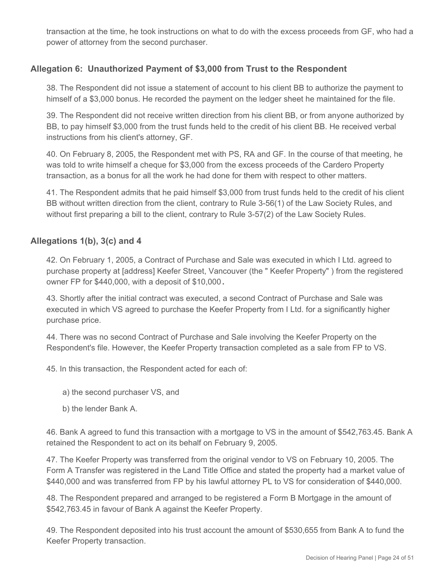transaction at the time, he took instructions on what to do with the excess proceeds from GF, who had a power of attorney from the second purchaser.

# **Allegation 6: Unauthorized Payment of \$3,000 from Trust to the Respondent**

38. The Respondent did not issue a statement of account to his client BB to authorize the payment to himself of a \$3,000 bonus. He recorded the payment on the ledger sheet he maintained for the file.

39. The Respondent did not receive written direction from his client BB, or from anyone authorized by BB, to pay himself \$3,000 from the trust funds held to the credit of his client BB. He received verbal instructions from his client's attorney, GF.

40. On February 8, 2005, the Respondent met with PS, RA and GF. In the course of that meeting, he was told to write himself a cheque for \$3,000 from the excess proceeds of the Cardero Property transaction, as a bonus for all the work he had done for them with respect to other matters.

41. The Respondent admits that he paid himself \$3,000 from trust funds held to the credit of his client BB without written direction from the client, contrary to Rule 3-56(1) of the Law Society Rules, and without first preparing a bill to the client, contrary to Rule 3-57(2) of the Law Society Rules.

## **Allegations 1(b), 3(c) and 4**

42. On February 1, 2005, a Contract of Purchase and Sale was executed in which I Ltd. agreed to purchase property at [address] Keefer Street, Vancouver (the " Keefer Property" ) from the registered owner FP for \$440,000, with a deposit of \$10,000 **.**

43. Shortly after the initial contract was executed, a second Contract of Purchase and Sale was executed in which VS agreed to purchase the Keefer Property from I Ltd. for a significantly higher purchase price.

44. There was no second Contract of Purchase and Sale involving the Keefer Property on the Respondent's file. However, the Keefer Property transaction completed as a sale from FP to VS.

45. In this transaction, the Respondent acted for each of:

- a) the second purchaser VS, and
- b) the lender Bank A.

46. Bank A agreed to fund this transaction with a mortgage to VS in the amount of \$542,763.45. Bank A retained the Respondent to act on its behalf on February 9, 2005.

47. The Keefer Property was transferred from the original vendor to VS on February 10, 2005. The Form A Transfer was registered in the Land Title Office and stated the property had a market value of \$440,000 and was transferred from FP by his lawful attorney PL to VS for consideration of \$440,000.

48. The Respondent prepared and arranged to be registered a Form B Mortgage in the amount of \$542,763.45 in favour of Bank A against the Keefer Property.

49. The Respondent deposited into his trust account the amount of \$530,655 from Bank A to fund the Keefer Property transaction.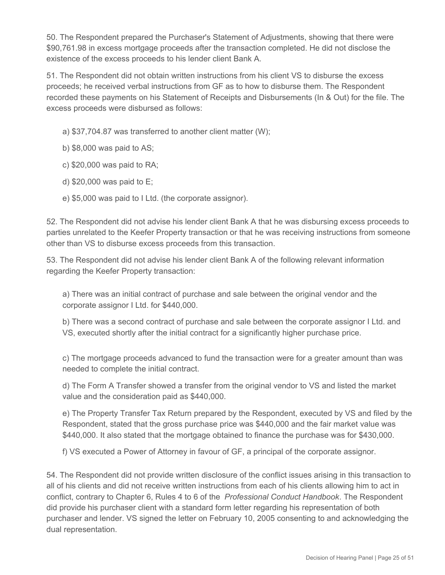50. The Respondent prepared the Purchaser's Statement of Adjustments, showing that there were \$90,761.98 in excess mortgage proceeds after the transaction completed. He did not disclose the existence of the excess proceeds to his lender client Bank A.

51. The Respondent did not obtain written instructions from his client VS to disburse the excess proceeds; he received verbal instructions from GF as to how to disburse them. The Respondent recorded these payments on his Statement of Receipts and Disbursements (In & Out) for the file. The excess proceeds were disbursed as follows:

- a) \$37,704.87 was transferred to another client matter (W);
- b) \$8,000 was paid to AS;
- c) \$20,000 was paid to RA;
- d) \$20,000 was paid to E;
- e) \$5,000 was paid to I Ltd. (the corporate assignor).

52. The Respondent did not advise his lender client Bank A that he was disbursing excess proceeds to parties unrelated to the Keefer Property transaction or that he was receiving instructions from someone other than VS to disburse excess proceeds from this transaction.

53. The Respondent did not advise his lender client Bank A of the following relevant information regarding the Keefer Property transaction:

a) There was an initial contract of purchase and sale between the original vendor and the corporate assignor I Ltd. for \$440,000.

b) There was a second contract of purchase and sale between the corporate assignor I Ltd. and VS, executed shortly after the initial contract for a significantly higher purchase price.

c) The mortgage proceeds advanced to fund the transaction were for a greater amount than was needed to complete the initial contract.

d) The Form A Transfer showed a transfer from the original vendor to VS and listed the market value and the consideration paid as \$440,000.

e) The Property Transfer Tax Return prepared by the Respondent, executed by VS and filed by the Respondent, stated that the gross purchase price was \$440,000 and the fair market value was \$440,000. It also stated that the mortgage obtained to finance the purchase was for \$430,000.

f) VS executed a Power of Attorney in favour of GF, a principal of the corporate assignor.

54. The Respondent did not provide written disclosure of the conflict issues arising in this transaction to all of his clients and did not receive written instructions from each of his clients allowing him to act in conflict, contrary to Chapter 6, Rules 4 to 6 of the *Professional Conduct Handbook*. The Respondent did provide his purchaser client with a standard form letter regarding his representation of both purchaser and lender. VS signed the letter on February 10, 2005 consenting to and acknowledging the dual representation.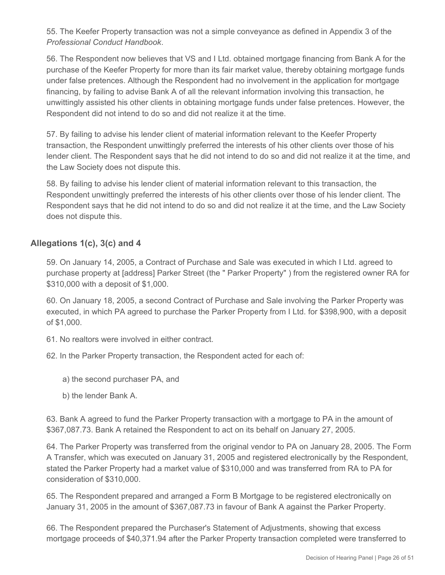55. The Keefer Property transaction was not a simple conveyance as defined in Appendix 3 of the *Professional Conduct Handbook*.

56. The Respondent now believes that VS and I Ltd. obtained mortgage financing from Bank A for the purchase of the Keefer Property for more than its fair market value, thereby obtaining mortgage funds under false pretences. Although the Respondent had no involvement in the application for mortgage financing, by failing to advise Bank A of all the relevant information involving this transaction, he unwittingly assisted his other clients in obtaining mortgage funds under false pretences. However, the Respondent did not intend to do so and did not realize it at the time.

57. By failing to advise his lender client of material information relevant to the Keefer Property transaction, the Respondent unwittingly preferred the interests of his other clients over those of his lender client. The Respondent says that he did not intend to do so and did not realize it at the time, and the Law Society does not dispute this.

58. By failing to advise his lender client of material information relevant to this transaction, the Respondent unwittingly preferred the interests of his other clients over those of his lender client. The Respondent says that he did not intend to do so and did not realize it at the time, and the Law Society does not dispute this.

## **Allegations 1(c), 3(c) and 4**

59. On January 14, 2005, a Contract of Purchase and Sale was executed in which I Ltd. agreed to purchase property at [address] Parker Street (the " Parker Property" ) from the registered owner RA for \$310,000 with a deposit of \$1,000.

60. On January 18, 2005, a second Contract of Purchase and Sale involving the Parker Property was executed, in which PA agreed to purchase the Parker Property from I Ltd. for \$398,900, with a deposit of \$1,000.

61. No realtors were involved in either contract.

62. In the Parker Property transaction, the Respondent acted for each of:

- a) the second purchaser PA, and
- b) the lender Bank A.

63. Bank A agreed to fund the Parker Property transaction with a mortgage to PA in the amount of \$367,087.73. Bank A retained the Respondent to act on its behalf on January 27, 2005.

64. The Parker Property was transferred from the original vendor to PA on January 28, 2005. The Form A Transfer, which was executed on January 31, 2005 and registered electronically by the Respondent, stated the Parker Property had a market value of \$310,000 and was transferred from RA to PA for consideration of \$310,000.

65. The Respondent prepared and arranged a Form B Mortgage to be registered electronically on January 31, 2005 in the amount of \$367,087.73 in favour of Bank A against the Parker Property.

66. The Respondent prepared the Purchaser's Statement of Adjustments, showing that excess mortgage proceeds of \$40,371.94 after the Parker Property transaction completed were transferred to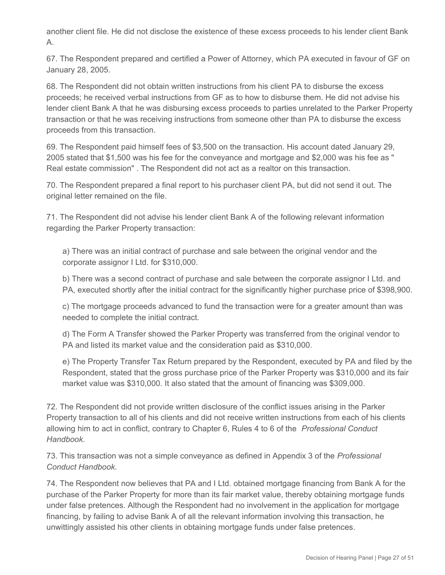another client file. He did not disclose the existence of these excess proceeds to his lender client Bank A.

67. The Respondent prepared and certified a Power of Attorney, which PA executed in favour of GF on January 28, 2005.

68. The Respondent did not obtain written instructions from his client PA to disburse the excess proceeds; he received verbal instructions from GF as to how to disburse them. He did not advise his lender client Bank A that he was disbursing excess proceeds to parties unrelated to the Parker Property transaction or that he was receiving instructions from someone other than PA to disburse the excess proceeds from this transaction.

69. The Respondent paid himself fees of \$3,500 on the transaction. His account dated January 29, 2005 stated that \$1,500 was his fee for the conveyance and mortgage and \$2,000 was his fee as " Real estate commission" . The Respondent did not act as a realtor on this transaction.

70. The Respondent prepared a final report to his purchaser client PA, but did not send it out. The original letter remained on the file.

71. The Respondent did not advise his lender client Bank A of the following relevant information regarding the Parker Property transaction:

a) There was an initial contract of purchase and sale between the original vendor and the corporate assignor I Ltd. for \$310,000.

b) There was a second contract of purchase and sale between the corporate assignor I Ltd. and PA, executed shortly after the initial contract for the significantly higher purchase price of \$398,900.

c) The mortgage proceeds advanced to fund the transaction were for a greater amount than was needed to complete the initial contract.

d) The Form A Transfer showed the Parker Property was transferred from the original vendor to PA and listed its market value and the consideration paid as \$310,000.

e) The Property Transfer Tax Return prepared by the Respondent, executed by PA and filed by the Respondent, stated that the gross purchase price of the Parker Property was \$310,000 and its fair market value was \$310,000. It also stated that the amount of financing was \$309,000.

72. The Respondent did not provide written disclosure of the conflict issues arising in the Parker Property transaction to all of his clients and did not receive written instructions from each of his clients allowing him to act in conflict, contrary to Chapter 6, Rules 4 to 6 of the *Professional Conduct Handbook*.

73. This transaction was not a simple conveyance as defined in Appendix 3 of the *Professional Conduct Handbook*.

74. The Respondent now believes that PA and I Ltd. obtained mortgage financing from Bank A for the purchase of the Parker Property for more than its fair market value, thereby obtaining mortgage funds under false pretences. Although the Respondent had no involvement in the application for mortgage financing, by failing to advise Bank A of all the relevant information involving this transaction, he unwittingly assisted his other clients in obtaining mortgage funds under false pretences.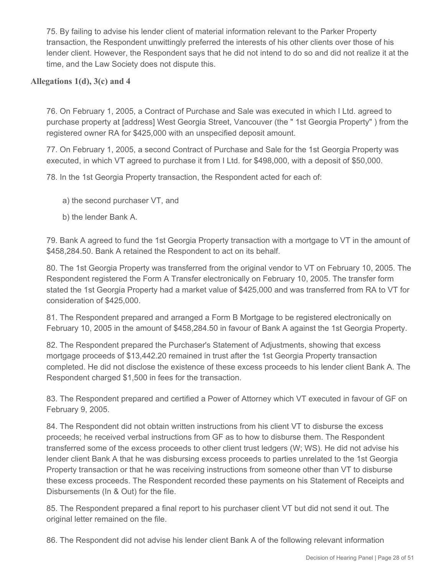75. By failing to advise his lender client of material information relevant to the Parker Property transaction, the Respondent unwittingly preferred the interests of his other clients over those of his lender client. However, the Respondent says that he did not intend to do so and did not realize it at the time, and the Law Society does not dispute this.

## **Allegations 1(d), 3(c) and 4**

76. On February 1, 2005, a Contract of Purchase and Sale was executed in which I Ltd. agreed to purchase property at [address] West Georgia Street, Vancouver (the " 1st Georgia Property" ) from the registered owner RA for \$425,000 with an unspecified deposit amount.

77. On February 1, 2005, a second Contract of Purchase and Sale for the 1st Georgia Property was executed, in which VT agreed to purchase it from I Ltd. for \$498,000, with a deposit of \$50,000.

78. In the 1st Georgia Property transaction, the Respondent acted for each of:

- a) the second purchaser VT, and
- b) the lender Bank A.

79. Bank A agreed to fund the 1st Georgia Property transaction with a mortgage to VT in the amount of \$458,284.50. Bank A retained the Respondent to act on its behalf.

80. The 1st Georgia Property was transferred from the original vendor to VT on February 10, 2005. The Respondent registered the Form A Transfer electronically on February 10, 2005. The transfer form stated the 1st Georgia Property had a market value of \$425,000 and was transferred from RA to VT for consideration of \$425,000.

81. The Respondent prepared and arranged a Form B Mortgage to be registered electronically on February 10, 2005 in the amount of \$458,284.50 in favour of Bank A against the 1st Georgia Property.

82. The Respondent prepared the Purchaser's Statement of Adjustments, showing that excess mortgage proceeds of \$13,442.20 remained in trust after the 1st Georgia Property transaction completed. He did not disclose the existence of these excess proceeds to his lender client Bank A. The Respondent charged \$1,500 in fees for the transaction.

83. The Respondent prepared and certified a Power of Attorney which VT executed in favour of GF on February 9, 2005.

84. The Respondent did not obtain written instructions from his client VT to disburse the excess proceeds; he received verbal instructions from GF as to how to disburse them. The Respondent transferred some of the excess proceeds to other client trust ledgers (W; WS). He did not advise his lender client Bank A that he was disbursing excess proceeds to parties unrelated to the 1st Georgia Property transaction or that he was receiving instructions from someone other than VT to disburse these excess proceeds. The Respondent recorded these payments on his Statement of Receipts and Disbursements (In & Out) for the file.

85. The Respondent prepared a final report to his purchaser client VT but did not send it out. The original letter remained on the file.

86. The Respondent did not advise his lender client Bank A of the following relevant information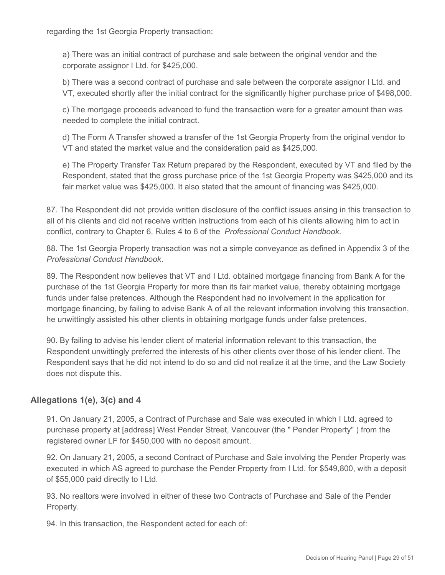regarding the 1st Georgia Property transaction:

a) There was an initial contract of purchase and sale between the original vendor and the corporate assignor I Ltd. for \$425,000.

b) There was a second contract of purchase and sale between the corporate assignor I Ltd. and VT, executed shortly after the initial contract for the significantly higher purchase price of \$498,000.

c) The mortgage proceeds advanced to fund the transaction were for a greater amount than was needed to complete the initial contract.

d) The Form A Transfer showed a transfer of the 1st Georgia Property from the original vendor to VT and stated the market value and the consideration paid as \$425,000.

e) The Property Transfer Tax Return prepared by the Respondent, executed by VT and filed by the Respondent, stated that the gross purchase price of the 1st Georgia Property was \$425,000 and its fair market value was \$425,000. It also stated that the amount of financing was \$425,000.

87. The Respondent did not provide written disclosure of the conflict issues arising in this transaction to all of his clients and did not receive written instructions from each of his clients allowing him to act in conflict, contrary to Chapter 6, Rules 4 to 6 of the *Professional Conduct Handbook*.

88. The 1st Georgia Property transaction was not a simple conveyance as defined in Appendix 3 of the *Professional Conduct Handbook*.

89. The Respondent now believes that VT and I Ltd. obtained mortgage financing from Bank A for the purchase of the 1st Georgia Property for more than its fair market value, thereby obtaining mortgage funds under false pretences. Although the Respondent had no involvement in the application for mortgage financing, by failing to advise Bank A of all the relevant information involving this transaction, he unwittingly assisted his other clients in obtaining mortgage funds under false pretences.

90. By failing to advise his lender client of material information relevant to this transaction, the Respondent unwittingly preferred the interests of his other clients over those of his lender client. The Respondent says that he did not intend to do so and did not realize it at the time, and the Law Society does not dispute this.

# **Allegations 1(e), 3(c) and 4**

91. On January 21, 2005, a Contract of Purchase and Sale was executed in which I Ltd. agreed to purchase property at [address] West Pender Street, Vancouver (the " Pender Property" ) from the registered owner LF for \$450,000 with no deposit amount.

92. On January 21, 2005, a second Contract of Purchase and Sale involving the Pender Property was executed in which AS agreed to purchase the Pender Property from I Ltd. for \$549,800, with a deposit of \$55,000 paid directly to I Ltd.

93. No realtors were involved in either of these two Contracts of Purchase and Sale of the Pender Property.

94. In this transaction, the Respondent acted for each of: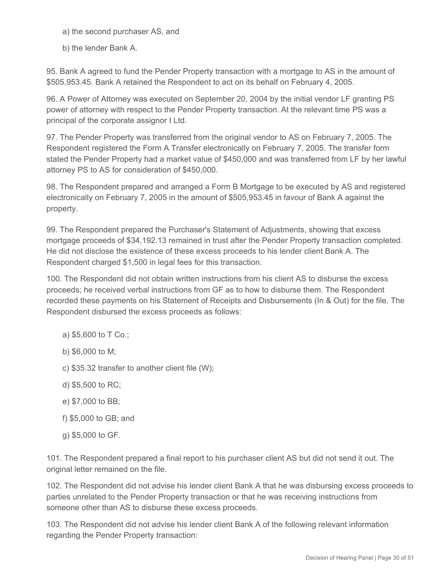a) the second purchaser AS, and

b) the lender Bank A.

95. Bank A agreed to fund the Pender Property transaction with a mortgage to AS in the amount of \$505,953.45. Bank A retained the Respondent to act on its behalf on February 4, 2005.

96. A Power of Attorney was executed on September 20, 2004 by the initial vendor LF granting PS power of attorney with respect to the Pender Property transaction. At the relevant time PS was a principal of the corporate assignor I Ltd.

97. The Pender Property was transferred from the original vendor to AS on February 7, 2005. The Respondent registered the Form A Transfer electronically on February 7, 2005. The transfer form stated the Pender Property had a market value of \$450,000 and was transferred from LF by her lawful attorney PS to AS for consideration of \$450,000.

98. The Respondent prepared and arranged a Form B Mortgage to be executed by AS and registered electronically on February 7, 2005 in the amount of \$505,953.45 in favour of Bank A against the property.

99. The Respondent prepared the Purchaser's Statement of Adjustments, showing that excess mortgage proceeds of \$34,192.13 remained in trust after the Pender Property transaction completed. He did not disclose the existence of these excess proceeds to his lender client Bank A. The Respondent charged \$1,500 in legal fees for this transaction.

100. The Respondent did not obtain written instructions from his client AS to disburse the excess proceeds; he received verbal instructions from GF as to how to disburse them. The Respondent recorded these payments on his Statement of Receipts and Disbursements (In & Out) for the file. The Respondent disbursed the excess proceeds as follows:

- a) \$5,600 to T Co.;
- b) \$6,000 to M;
- c) \$35.32 transfer to another client file (W);
- d) \$5,500 to RC;
- e) \$7,000 to BB;
- f) \$5,000 to GB; and
- g) \$5,000 to GF.

101. The Respondent prepared a final report to his purchaser client AS but did not send it out. The original letter remained on the file.

102. The Respondent did not advise his lender client Bank A that he was disbursing excess proceeds to parties unrelated to the Pender Property transaction or that he was receiving instructions from someone other than AS to disburse these excess proceeds.

103. The Respondent did not advise his lender client Bank A of the following relevant information regarding the Pender Property transaction: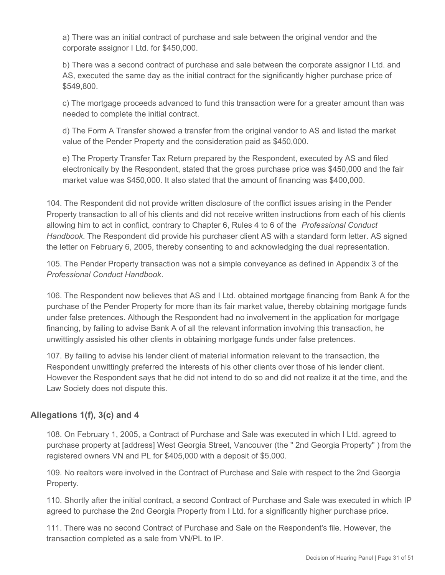a) There was an initial contract of purchase and sale between the original vendor and the corporate assignor I Ltd. for \$450,000.

b) There was a second contract of purchase and sale between the corporate assignor I Ltd. and AS, executed the same day as the initial contract for the significantly higher purchase price of \$549,800.

c) The mortgage proceeds advanced to fund this transaction were for a greater amount than was needed to complete the initial contract.

d) The Form A Transfer showed a transfer from the original vendor to AS and listed the market value of the Pender Property and the consideration paid as \$450,000.

e) The Property Transfer Tax Return prepared by the Respondent, executed by AS and filed electronically by the Respondent, stated that the gross purchase price was \$450,000 and the fair market value was \$450,000. It also stated that the amount of financing was \$400,000.

104. The Respondent did not provide written disclosure of the conflict issues arising in the Pender Property transaction to all of his clients and did not receive written instructions from each of his clients allowing him to act in conflict, contrary to Chapter 6, Rules 4 to 6 of the *Professional Conduct Handbook*. The Respondent did provide his purchaser client AS with a standard form letter. AS signed the letter on February 6, 2005, thereby consenting to and acknowledging the dual representation.

105. The Pender Property transaction was not a simple conveyance as defined in Appendix 3 of the *Professional Conduct Handbook*.

106. The Respondent now believes that AS and I Ltd. obtained mortgage financing from Bank A for the purchase of the Pender Property for more than its fair market value, thereby obtaining mortgage funds under false pretences. Although the Respondent had no involvement in the application for mortgage financing, by failing to advise Bank A of all the relevant information involving this transaction, he unwittingly assisted his other clients in obtaining mortgage funds under false pretences.

107. By failing to advise his lender client of material information relevant to the transaction, the Respondent unwittingly preferred the interests of his other clients over those of his lender client. However the Respondent says that he did not intend to do so and did not realize it at the time, and the Law Society does not dispute this.

# **Allegations 1(f), 3(c) and 4**

108. On February 1, 2005, a Contract of Purchase and Sale was executed in which I Ltd. agreed to purchase property at [address] West Georgia Street, Vancouver (the " 2nd Georgia Property" ) from the registered owners VN and PL for \$405,000 with a deposit of \$5,000.

109. No realtors were involved in the Contract of Purchase and Sale with respect to the 2nd Georgia Property.

110. Shortly after the initial contract, a second Contract of Purchase and Sale was executed in which IP agreed to purchase the 2nd Georgia Property from I Ltd. for a significantly higher purchase price.

111. There was no second Contract of Purchase and Sale on the Respondent's file. However, the transaction completed as a sale from VN/PL to IP.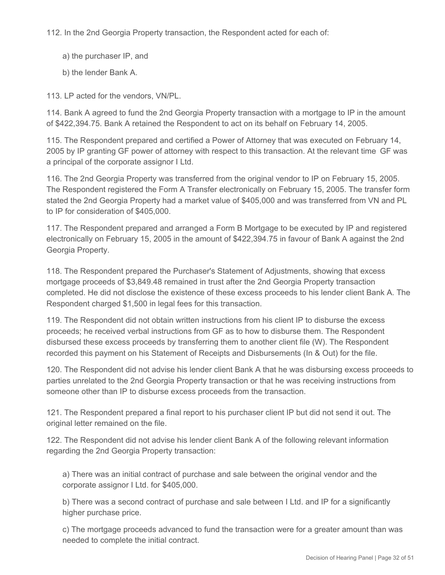112. In the 2nd Georgia Property transaction, the Respondent acted for each of:

- a) the purchaser IP, and
- b) the lender Bank A.

113. LP acted for the vendors, VN/PL.

114. Bank A agreed to fund the 2nd Georgia Property transaction with a mortgage to IP in the amount of \$422,394.75. Bank A retained the Respondent to act on its behalf on February 14, 2005.

115. The Respondent prepared and certified a Power of Attorney that was executed on February 14, 2005 by IP granting GF power of attorney with respect to this transaction. At the relevant time GF was a principal of the corporate assignor I Ltd.

116. The 2nd Georgia Property was transferred from the original vendor to IP on February 15, 2005. The Respondent registered the Form A Transfer electronically on February 15, 2005. The transfer form stated the 2nd Georgia Property had a market value of \$405,000 and was transferred from VN and PL to IP for consideration of \$405,000.

117. The Respondent prepared and arranged a Form B Mortgage to be executed by IP and registered electronically on February 15, 2005 in the amount of \$422,394.75 in favour of Bank A against the 2nd Georgia Property.

118. The Respondent prepared the Purchaser's Statement of Adjustments, showing that excess mortgage proceeds of \$3,849.48 remained in trust after the 2nd Georgia Property transaction completed. He did not disclose the existence of these excess proceeds to his lender client Bank A. The Respondent charged \$1,500 in legal fees for this transaction.

119. The Respondent did not obtain written instructions from his client IP to disburse the excess proceeds; he received verbal instructions from GF as to how to disburse them. The Respondent disbursed these excess proceeds by transferring them to another client file (W). The Respondent recorded this payment on his Statement of Receipts and Disbursements (In & Out) for the file.

120. The Respondent did not advise his lender client Bank A that he was disbursing excess proceeds to parties unrelated to the 2nd Georgia Property transaction or that he was receiving instructions from someone other than IP to disburse excess proceeds from the transaction.

121. The Respondent prepared a final report to his purchaser client IP but did not send it out. The original letter remained on the file.

122. The Respondent did not advise his lender client Bank A of the following relevant information regarding the 2nd Georgia Property transaction:

a) There was an initial contract of purchase and sale between the original vendor and the corporate assignor I Ltd. for \$405,000.

b) There was a second contract of purchase and sale between I Ltd. and IP for a significantly higher purchase price.

c) The mortgage proceeds advanced to fund the transaction were for a greater amount than was needed to complete the initial contract.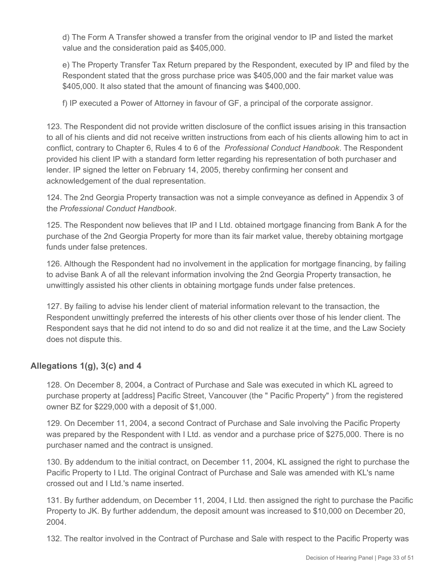d) The Form A Transfer showed a transfer from the original vendor to IP and listed the market value and the consideration paid as \$405,000.

e) The Property Transfer Tax Return prepared by the Respondent, executed by IP and filed by the Respondent stated that the gross purchase price was \$405,000 and the fair market value was \$405,000. It also stated that the amount of financing was \$400,000.

f) IP executed a Power of Attorney in favour of GF, a principal of the corporate assignor.

123. The Respondent did not provide written disclosure of the conflict issues arising in this transaction to all of his clients and did not receive written instructions from each of his clients allowing him to act in conflict, contrary to Chapter 6, Rules 4 to 6 of the *Professional Conduct Handbook*. The Respondent provided his client IP with a standard form letter regarding his representation of both purchaser and lender. IP signed the letter on February 14, 2005, thereby confirming her consent and acknowledgement of the dual representation.

124. The 2nd Georgia Property transaction was not a simple conveyance as defined in Appendix 3 of the *Professional Conduct Handbook*.

125. The Respondent now believes that IP and I Ltd. obtained mortgage financing from Bank A for the purchase of the 2nd Georgia Property for more than its fair market value, thereby obtaining mortgage funds under false pretences.

126. Although the Respondent had no involvement in the application for mortgage financing, by failing to advise Bank A of all the relevant information involving the 2nd Georgia Property transaction, he unwittingly assisted his other clients in obtaining mortgage funds under false pretences.

127. By failing to advise his lender client of material information relevant to the transaction, the Respondent unwittingly preferred the interests of his other clients over those of his lender client. The Respondent says that he did not intend to do so and did not realize it at the time, and the Law Society does not dispute this.

# **Allegations 1(g), 3(c) and 4**

128. On December 8, 2004, a Contract of Purchase and Sale was executed in which KL agreed to purchase property at [address] Pacific Street, Vancouver (the " Pacific Property" ) from the registered owner BZ for \$229,000 with a deposit of \$1,000.

129. On December 11, 2004, a second Contract of Purchase and Sale involving the Pacific Property was prepared by the Respondent with I Ltd. as vendor and a purchase price of \$275,000. There is no purchaser named and the contract is unsigned.

130. By addendum to the initial contract, on December 11, 2004, KL assigned the right to purchase the Pacific Property to I Ltd. The original Contract of Purchase and Sale was amended with KL's name crossed out and I Ltd.'s name inserted.

131. By further addendum, on December 11, 2004, I Ltd. then assigned the right to purchase the Pacific Property to JK. By further addendum, the deposit amount was increased to \$10,000 on December 20, 2004.

132. The realtor involved in the Contract of Purchase and Sale with respect to the Pacific Property was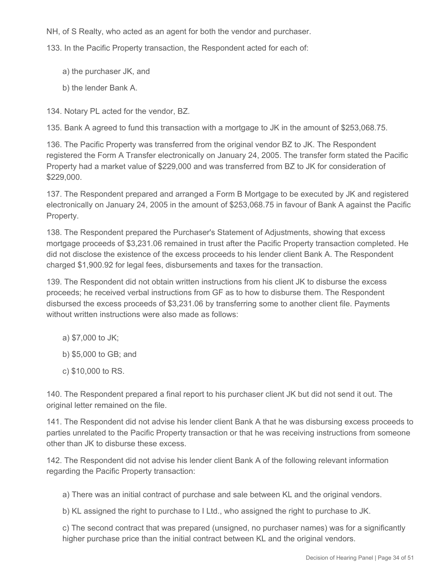NH, of S Realty, who acted as an agent for both the vendor and purchaser.

133. In the Pacific Property transaction, the Respondent acted for each of:

- a) the purchaser JK, and
- b) the lender Bank A.

134. Notary PL acted for the vendor, BZ.

135. Bank A agreed to fund this transaction with a mortgage to JK in the amount of \$253,068.75.

136. The Pacific Property was transferred from the original vendor BZ to JK. The Respondent registered the Form A Transfer electronically on January 24, 2005. The transfer form stated the Pacific Property had a market value of \$229,000 and was transferred from BZ to JK for consideration of \$229,000.

137. The Respondent prepared and arranged a Form B Mortgage to be executed by JK and registered electronically on January 24, 2005 in the amount of \$253,068.75 in favour of Bank A against the Pacific Property.

138. The Respondent prepared the Purchaser's Statement of Adjustments, showing that excess mortgage proceeds of \$3,231.06 remained in trust after the Pacific Property transaction completed. He did not disclose the existence of the excess proceeds to his lender client Bank A. The Respondent charged \$1,900.92 for legal fees, disbursements and taxes for the transaction.

139. The Respondent did not obtain written instructions from his client JK to disburse the excess proceeds; he received verbal instructions from GF as to how to disburse them. The Respondent disbursed the excess proceeds of \$3,231.06 by transferring some to another client file. Payments without written instructions were also made as follows:

- a) \$7,000 to JK;
- b) \$5,000 to GB; and
- c) \$10,000 to RS.

140. The Respondent prepared a final report to his purchaser client JK but did not send it out. The original letter remained on the file.

141. The Respondent did not advise his lender client Bank A that he was disbursing excess proceeds to parties unrelated to the Pacific Property transaction or that he was receiving instructions from someone other than JK to disburse these excess.

142. The Respondent did not advise his lender client Bank A of the following relevant information regarding the Pacific Property transaction:

a) There was an initial contract of purchase and sale between KL and the original vendors.

b) KL assigned the right to purchase to I Ltd., who assigned the right to purchase to JK.

c) The second contract that was prepared (unsigned, no purchaser names) was for a significantly higher purchase price than the initial contract between KL and the original vendors.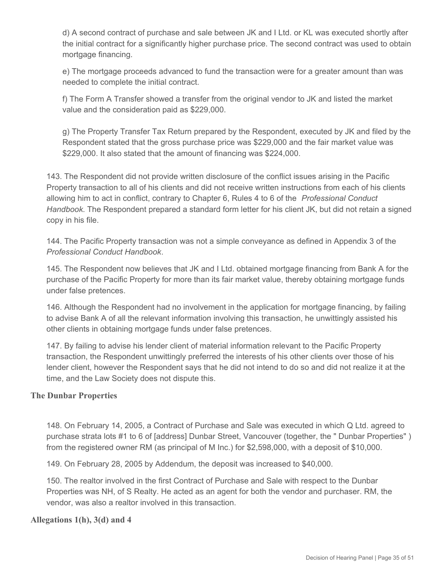d) A second contract of purchase and sale between JK and I Ltd. or KL was executed shortly after the initial contract for a significantly higher purchase price. The second contract was used to obtain mortgage financing.

e) The mortgage proceeds advanced to fund the transaction were for a greater amount than was needed to complete the initial contract.

f) The Form A Transfer showed a transfer from the original vendor to JK and listed the market value and the consideration paid as \$229,000.

g) The Property Transfer Tax Return prepared by the Respondent, executed by JK and filed by the Respondent stated that the gross purchase price was \$229,000 and the fair market value was \$229,000. It also stated that the amount of financing was \$224,000.

143. The Respondent did not provide written disclosure of the conflict issues arising in the Pacific Property transaction to all of his clients and did not receive written instructions from each of his clients allowing him to act in conflict, contrary to Chapter 6, Rules 4 to 6 of the *Professional Conduct Handbook*. The Respondent prepared a standard form letter for his client JK, but did not retain a signed copy in his file.

144. The Pacific Property transaction was not a simple conveyance as defined in Appendix 3 of the *Professional Conduct Handbook*.

145. The Respondent now believes that JK and I Ltd. obtained mortgage financing from Bank A for the purchase of the Pacific Property for more than its fair market value, thereby obtaining mortgage funds under false pretences.

146. Although the Respondent had no involvement in the application for mortgage financing, by failing to advise Bank A of all the relevant information involving this transaction, he unwittingly assisted his other clients in obtaining mortgage funds under false pretences.

147. By failing to advise his lender client of material information relevant to the Pacific Property transaction, the Respondent unwittingly preferred the interests of his other clients over those of his lender client, however the Respondent says that he did not intend to do so and did not realize it at the time, and the Law Society does not dispute this.

## **The Dunbar Properties**

148. On February 14, 2005, a Contract of Purchase and Sale was executed in which Q Ltd. agreed to purchase strata lots #1 to 6 of [address] Dunbar Street, Vancouver (together, the " Dunbar Properties" ) from the registered owner RM (as principal of M Inc.) for \$2,598,000, with a deposit of \$10,000.

149. On February 28, 2005 by Addendum, the deposit was increased to \$40,000.

150. The realtor involved in the first Contract of Purchase and Sale with respect to the Dunbar Properties was NH, of S Realty. He acted as an agent for both the vendor and purchaser. RM, the vendor, was also a realtor involved in this transaction.

## **Allegations 1(h), 3(d) and 4**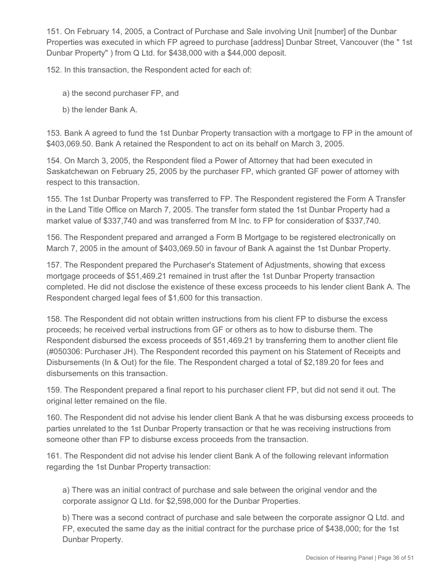151. On February 14, 2005, a Contract of Purchase and Sale involving Unit [number] of the Dunbar Properties was executed in which FP agreed to purchase [address] Dunbar Street, Vancouver (the " 1st Dunbar Property" ) from Q Ltd. for \$438,000 with a \$44,000 deposit.

152. In this transaction, the Respondent acted for each of:

- a) the second purchaser FP, and
- b) the lender Bank A.

153. Bank A agreed to fund the 1st Dunbar Property transaction with a mortgage to FP in the amount of \$403,069.50. Bank A retained the Respondent to act on its behalf on March 3, 2005.

154. On March 3, 2005, the Respondent filed a Power of Attorney that had been executed in Saskatchewan on February 25, 2005 by the purchaser FP, which granted GF power of attorney with respect to this transaction.

155. The 1st Dunbar Property was transferred to FP. The Respondent registered the Form A Transfer in the Land Title Office on March 7, 2005. The transfer form stated the 1st Dunbar Property had a market value of \$337,740 and was transferred from M Inc. to FP for consideration of \$337,740.

156. The Respondent prepared and arranged a Form B Mortgage to be registered electronically on March 7, 2005 in the amount of \$403,069.50 in favour of Bank A against the 1st Dunbar Property.

157. The Respondent prepared the Purchaser's Statement of Adjustments, showing that excess mortgage proceeds of \$51,469.21 remained in trust after the 1st Dunbar Property transaction completed. He did not disclose the existence of these excess proceeds to his lender client Bank A. The Respondent charged legal fees of \$1,600 for this transaction.

158. The Respondent did not obtain written instructions from his client FP to disburse the excess proceeds; he received verbal instructions from GF or others as to how to disburse them. The Respondent disbursed the excess proceeds of \$51,469.21 by transferring them to another client file (#050306: Purchaser JH). The Respondent recorded this payment on his Statement of Receipts and Disbursements (In & Out) for the file. The Respondent charged a total of \$2,189.20 for fees and disbursements on this transaction.

159. The Respondent prepared a final report to his purchaser client FP, but did not send it out. The original letter remained on the file.

160. The Respondent did not advise his lender client Bank A that he was disbursing excess proceeds to parties unrelated to the 1st Dunbar Property transaction or that he was receiving instructions from someone other than FP to disburse excess proceeds from the transaction.

161. The Respondent did not advise his lender client Bank A of the following relevant information regarding the 1st Dunbar Property transaction:

a) There was an initial contract of purchase and sale between the original vendor and the corporate assignor Q Ltd. for \$2,598,000 for the Dunbar Properties.

b) There was a second contract of purchase and sale between the corporate assignor Q Ltd. and FP, executed the same day as the initial contract for the purchase price of \$438,000; for the 1st Dunbar Property.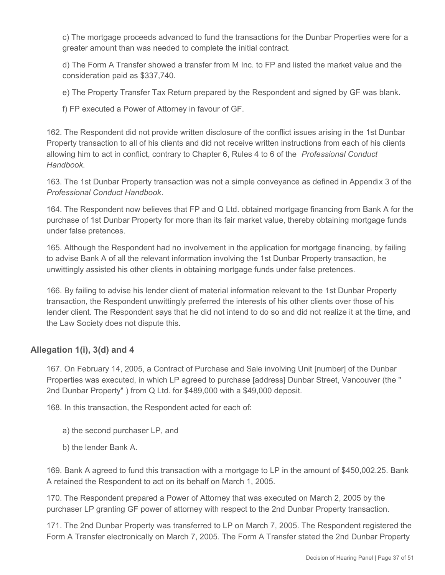c) The mortgage proceeds advanced to fund the transactions for the Dunbar Properties were for a greater amount than was needed to complete the initial contract.

d) The Form A Transfer showed a transfer from M Inc. to FP and listed the market value and the consideration paid as \$337,740.

e) The Property Transfer Tax Return prepared by the Respondent and signed by GF was blank.

f) FP executed a Power of Attorney in favour of GF.

162. The Respondent did not provide written disclosure of the conflict issues arising in the 1st Dunbar Property transaction to all of his clients and did not receive written instructions from each of his clients allowing him to act in conflict, contrary to Chapter 6, Rules 4 to 6 of the *Professional Conduct Handbook*.

163. The 1st Dunbar Property transaction was not a simple conveyance as defined in Appendix 3 of the *Professional Conduct Handbook*.

164. The Respondent now believes that FP and Q Ltd. obtained mortgage financing from Bank A for the purchase of 1st Dunbar Property for more than its fair market value, thereby obtaining mortgage funds under false pretences.

165. Although the Respondent had no involvement in the application for mortgage financing, by failing to advise Bank A of all the relevant information involving the 1st Dunbar Property transaction, he unwittingly assisted his other clients in obtaining mortgage funds under false pretences.

166. By failing to advise his lender client of material information relevant to the 1st Dunbar Property transaction, the Respondent unwittingly preferred the interests of his other clients over those of his lender client. The Respondent says that he did not intend to do so and did not realize it at the time, and the Law Society does not dispute this.

# **Allegation 1(i), 3(d) and 4**

167. On February 14, 2005, a Contract of Purchase and Sale involving Unit [number] of the Dunbar Properties was executed, in which LP agreed to purchase [address] Dunbar Street, Vancouver (the " 2nd Dunbar Property" ) from Q Ltd. for \$489,000 with a \$49,000 deposit.

168. In this transaction, the Respondent acted for each of:

- a) the second purchaser LP, and
- b) the lender Bank A.

169. Bank A agreed to fund this transaction with a mortgage to LP in the amount of \$450,002.25. Bank A retained the Respondent to act on its behalf on March 1, 2005.

170. The Respondent prepared a Power of Attorney that was executed on March 2, 2005 by the purchaser LP granting GF power of attorney with respect to the 2nd Dunbar Property transaction.

171. The 2nd Dunbar Property was transferred to LP on March 7, 2005. The Respondent registered the Form A Transfer electronically on March 7, 2005. The Form A Transfer stated the 2nd Dunbar Property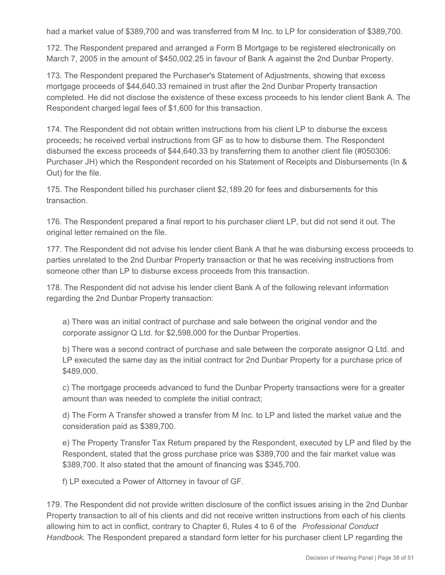had a market value of \$389,700 and was transferred from M Inc. to LP for consideration of \$389,700.

172. The Respondent prepared and arranged a Form B Mortgage to be registered electronically on March 7, 2005 in the amount of \$450,002.25 in favour of Bank A against the 2nd Dunbar Property.

173. The Respondent prepared the Purchaser's Statement of Adjustments, showing that excess mortgage proceeds of \$44,640.33 remained in trust after the 2nd Dunbar Property transaction completed. He did not disclose the existence of these excess proceeds to his lender client Bank A. The Respondent charged legal fees of \$1,600 for this transaction.

174. The Respondent did not obtain written instructions from his client LP to disburse the excess proceeds; he received verbal instructions from GF as to how to disburse them. The Respondent disbursed the excess proceeds of \$44,640.33 by transferring them to another client file (#050306: Purchaser JH) which the Respondent recorded on his Statement of Receipts and Disbursements (In & Out) for the file.

175. The Respondent billed his purchaser client \$2,189.20 for fees and disbursements for this transaction.

176. The Respondent prepared a final report to his purchaser client LP, but did not send it out. The original letter remained on the file.

177. The Respondent did not advise his lender client Bank A that he was disbursing excess proceeds to parties unrelated to the 2nd Dunbar Property transaction or that he was receiving instructions from someone other than LP to disburse excess proceeds from this transaction.

178. The Respondent did not advise his lender client Bank A of the following relevant information regarding the 2nd Dunbar Property transaction:

a) There was an initial contract of purchase and sale between the original vendor and the corporate assignor Q Ltd. for \$2,598,000 for the Dunbar Properties.

b) There was a second contract of purchase and sale between the corporate assignor Q Ltd. and LP executed the same day as the initial contract for 2nd Dunbar Property for a purchase price of \$489,000.

c) The mortgage proceeds advanced to fund the Dunbar Property transactions were for a greater amount than was needed to complete the initial contract;

d) The Form A Transfer showed a transfer from M Inc. to LP and listed the market value and the consideration paid as \$389,700.

e) The Property Transfer Tax Return prepared by the Respondent, executed by LP and filed by the Respondent, stated that the gross purchase price was \$389,700 and the fair market value was \$389,700. It also stated that the amount of financing was \$345,700.

f) LP executed a Power of Attorney in favour of GF.

179. The Respondent did not provide written disclosure of the conflict issues arising in the 2nd Dunbar Property transaction to all of his clients and did not receive written instructions from each of his clients allowing him to act in conflict, contrary to Chapter 6, Rules 4 to 6 of the *Professional Conduct Handbook*. The Respondent prepared a standard form letter for his purchaser client LP regarding the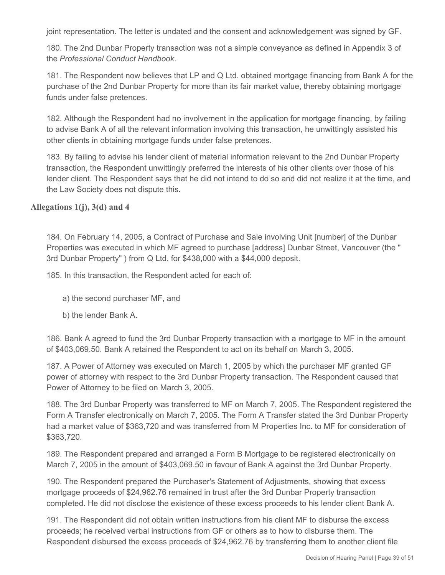joint representation. The letter is undated and the consent and acknowledgement was signed by GF.

180. The 2nd Dunbar Property transaction was not a simple conveyance as defined in Appendix 3 of the *Professional Conduct Handbook*.

181. The Respondent now believes that LP and Q Ltd. obtained mortgage financing from Bank A for the purchase of the 2nd Dunbar Property for more than its fair market value, thereby obtaining mortgage funds under false pretences.

182. Although the Respondent had no involvement in the application for mortgage financing, by failing to advise Bank A of all the relevant information involving this transaction, he unwittingly assisted his other clients in obtaining mortgage funds under false pretences.

183. By failing to advise his lender client of material information relevant to the 2nd Dunbar Property transaction, the Respondent unwittingly preferred the interests of his other clients over those of his lender client. The Respondent says that he did not intend to do so and did not realize it at the time, and the Law Society does not dispute this.

#### **Allegations 1(j), 3(d) and 4**

184. On February 14, 2005, a Contract of Purchase and Sale involving Unit [number] of the Dunbar Properties was executed in which MF agreed to purchase [address] Dunbar Street, Vancouver (the " 3rd Dunbar Property" ) from Q Ltd. for \$438,000 with a \$44,000 deposit.

185. In this transaction, the Respondent acted for each of:

- a) the second purchaser MF, and
- b) the lender Bank A.

186. Bank A agreed to fund the 3rd Dunbar Property transaction with a mortgage to MF in the amount of \$403,069.50. Bank A retained the Respondent to act on its behalf on March 3, 2005.

187. A Power of Attorney was executed on March 1, 2005 by which the purchaser MF granted GF power of attorney with respect to the 3rd Dunbar Property transaction. The Respondent caused that Power of Attorney to be filed on March 3, 2005.

188. The 3rd Dunbar Property was transferred to MF on March 7, 2005. The Respondent registered the Form A Transfer electronically on March 7, 2005. The Form A Transfer stated the 3rd Dunbar Property had a market value of \$363,720 and was transferred from M Properties Inc. to MF for consideration of \$363,720.

189. The Respondent prepared and arranged a Form B Mortgage to be registered electronically on March 7, 2005 in the amount of \$403,069.50 in favour of Bank A against the 3rd Dunbar Property.

190. The Respondent prepared the Purchaser's Statement of Adjustments, showing that excess mortgage proceeds of \$24,962.76 remained in trust after the 3rd Dunbar Property transaction completed. He did not disclose the existence of these excess proceeds to his lender client Bank A.

191. The Respondent did not obtain written instructions from his client MF to disburse the excess proceeds; he received verbal instructions from GF or others as to how to disburse them. The Respondent disbursed the excess proceeds of \$24,962.76 by transferring them to another client file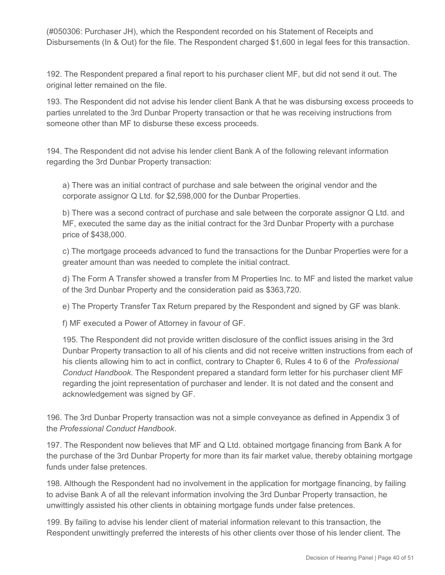(#050306: Purchaser JH), which the Respondent recorded on his Statement of Receipts and Disbursements (In & Out) for the file. The Respondent charged \$1,600 in legal fees for this transaction.

192. The Respondent prepared a final report to his purchaser client MF, but did not send it out. The original letter remained on the file.

193. The Respondent did not advise his lender client Bank A that he was disbursing excess proceeds to parties unrelated to the 3rd Dunbar Property transaction or that he was receiving instructions from someone other than MF to disburse these excess proceeds.

194. The Respondent did not advise his lender client Bank A of the following relevant information regarding the 3rd Dunbar Property transaction:

a) There was an initial contract of purchase and sale between the original vendor and the corporate assignor Q Ltd. for \$2,598,000 for the Dunbar Properties.

b) There was a second contract of purchase and sale between the corporate assignor Q Ltd. and MF, executed the same day as the initial contract for the 3rd Dunbar Property with a purchase price of \$438,000.

c) The mortgage proceeds advanced to fund the transactions for the Dunbar Properties were for a greater amount than was needed to complete the initial contract.

d) The Form A Transfer showed a transfer from M Properties Inc. to MF and listed the market value of the 3rd Dunbar Property and the consideration paid as \$363,720.

e) The Property Transfer Tax Return prepared by the Respondent and signed by GF was blank.

f) MF executed a Power of Attorney in favour of GF.

195. The Respondent did not provide written disclosure of the conflict issues arising in the 3rd Dunbar Property transaction to all of his clients and did not receive written instructions from each of his clients allowing him to act in conflict, contrary to Chapter 6, Rules 4 to 6 of the *Professional Conduct Handbook*. The Respondent prepared a standard form letter for his purchaser client MF regarding the joint representation of purchaser and lender. It is not dated and the consent and acknowledgement was signed by GF.

196. The 3rd Dunbar Property transaction was not a simple conveyance as defined in Appendix 3 of the *Professional Conduct Handbook*.

197. The Respondent now believes that MF and Q Ltd. obtained mortgage financing from Bank A for the purchase of the 3rd Dunbar Property for more than its fair market value, thereby obtaining mortgage funds under false pretences.

198. Although the Respondent had no involvement in the application for mortgage financing, by failing to advise Bank A of all the relevant information involving the 3rd Dunbar Property transaction, he unwittingly assisted his other clients in obtaining mortgage funds under false pretences.

199. By failing to advise his lender client of material information relevant to this transaction, the Respondent unwittingly preferred the interests of his other clients over those of his lender client. The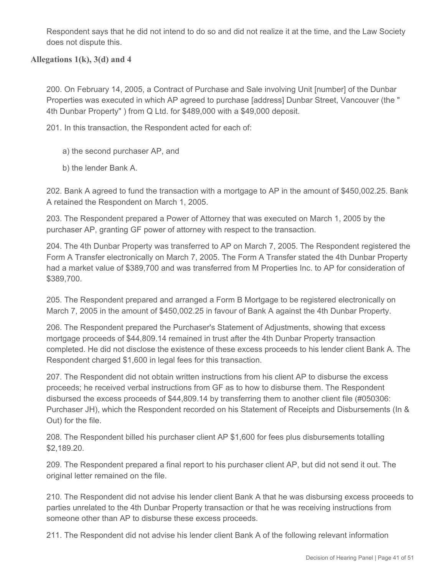Respondent says that he did not intend to do so and did not realize it at the time, and the Law Society does not dispute this.

## **Allegations 1(k), 3(d) and 4**

200. On February 14, 2005, a Contract of Purchase and Sale involving Unit [number] of the Dunbar Properties was executed in which AP agreed to purchase [address] Dunbar Street, Vancouver (the " 4th Dunbar Property" ) from Q Ltd. for \$489,000 with a \$49,000 deposit.

201. In this transaction, the Respondent acted for each of:

- a) the second purchaser AP, and
- b) the lender Bank A.

202. Bank A agreed to fund the transaction with a mortgage to AP in the amount of \$450,002.25. Bank A retained the Respondent on March 1, 2005.

203. The Respondent prepared a Power of Attorney that was executed on March 1, 2005 by the purchaser AP, granting GF power of attorney with respect to the transaction.

204. The 4th Dunbar Property was transferred to AP on March 7, 2005. The Respondent registered the Form A Transfer electronically on March 7, 2005. The Form A Transfer stated the 4th Dunbar Property had a market value of \$389,700 and was transferred from M Properties Inc. to AP for consideration of \$389,700.

205. The Respondent prepared and arranged a Form B Mortgage to be registered electronically on March 7, 2005 in the amount of \$450,002.25 in favour of Bank A against the 4th Dunbar Property.

206. The Respondent prepared the Purchaser's Statement of Adjustments, showing that excess mortgage proceeds of \$44,809.14 remained in trust after the 4th Dunbar Property transaction completed. He did not disclose the existence of these excess proceeds to his lender client Bank A. The Respondent charged \$1,600 in legal fees for this transaction.

207. The Respondent did not obtain written instructions from his client AP to disburse the excess proceeds; he received verbal instructions from GF as to how to disburse them. The Respondent disbursed the excess proceeds of \$44,809.14 by transferring them to another client file (#050306: Purchaser JH), which the Respondent recorded on his Statement of Receipts and Disbursements (In & Out) for the file.

208. The Respondent billed his purchaser client AP \$1,600 for fees plus disbursements totalling \$2,189.20.

209. The Respondent prepared a final report to his purchaser client AP, but did not send it out. The original letter remained on the file.

210. The Respondent did not advise his lender client Bank A that he was disbursing excess proceeds to parties unrelated to the 4th Dunbar Property transaction or that he was receiving instructions from someone other than AP to disburse these excess proceeds.

211. The Respondent did not advise his lender client Bank A of the following relevant information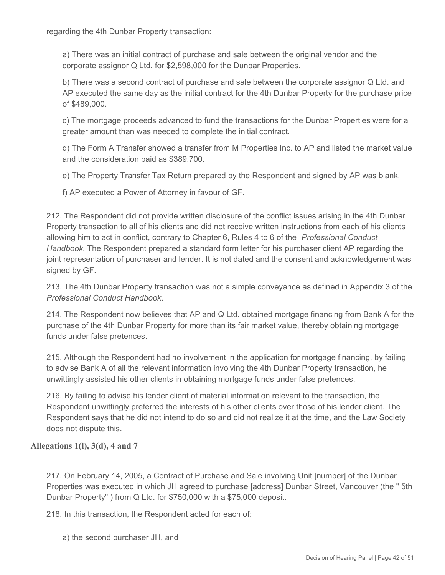regarding the 4th Dunbar Property transaction:

a) There was an initial contract of purchase and sale between the original vendor and the corporate assignor Q Ltd. for \$2,598,000 for the Dunbar Properties.

b) There was a second contract of purchase and sale between the corporate assignor Q Ltd. and AP executed the same day as the initial contract for the 4th Dunbar Property for the purchase price of \$489,000.

c) The mortgage proceeds advanced to fund the transactions for the Dunbar Properties were for a greater amount than was needed to complete the initial contract.

d) The Form A Transfer showed a transfer from M Properties Inc. to AP and listed the market value and the consideration paid as \$389,700.

e) The Property Transfer Tax Return prepared by the Respondent and signed by AP was blank.

f) AP executed a Power of Attorney in favour of GF.

212. The Respondent did not provide written disclosure of the conflict issues arising in the 4th Dunbar Property transaction to all of his clients and did not receive written instructions from each of his clients allowing him to act in conflict, contrary to Chapter 6, Rules 4 to 6 of the *Professional Conduct Handbook*. The Respondent prepared a standard form letter for his purchaser client AP regarding the joint representation of purchaser and lender. It is not dated and the consent and acknowledgement was signed by GF.

213. The 4th Dunbar Property transaction was not a simple conveyance as defined in Appendix 3 of the *Professional Conduct Handbook*.

214. The Respondent now believes that AP and Q Ltd. obtained mortgage financing from Bank A for the purchase of the 4th Dunbar Property for more than its fair market value, thereby obtaining mortgage funds under false pretences.

215. Although the Respondent had no involvement in the application for mortgage financing, by failing to advise Bank A of all the relevant information involving the 4th Dunbar Property transaction, he unwittingly assisted his other clients in obtaining mortgage funds under false pretences.

216. By failing to advise his lender client of material information relevant to the transaction, the Respondent unwittingly preferred the interests of his other clients over those of his lender client. The Respondent says that he did not intend to do so and did not realize it at the time, and the Law Society does not dispute this.

## **Allegations 1(l), 3(d), 4 and 7**

217. On February 14, 2005, a Contract of Purchase and Sale involving Unit [number] of the Dunbar Properties was executed in which JH agreed to purchase [address] Dunbar Street, Vancouver (the " 5th Dunbar Property" ) from Q Ltd. for \$750,000 with a \$75,000 deposit.

218. In this transaction, the Respondent acted for each of:

a) the second purchaser JH, and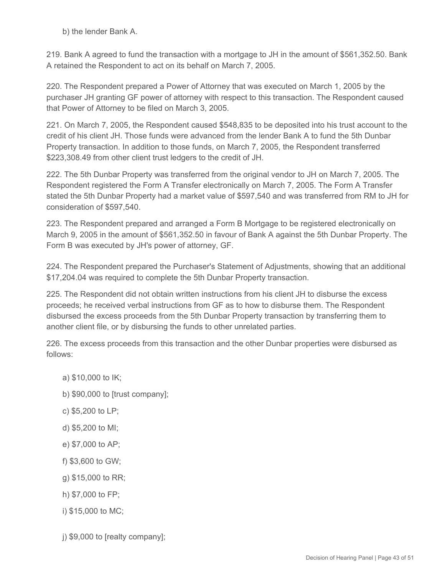b) the lender Bank A.

219. Bank A agreed to fund the transaction with a mortgage to JH in the amount of \$561,352.50. Bank A retained the Respondent to act on its behalf on March 7, 2005.

220. The Respondent prepared a Power of Attorney that was executed on March 1, 2005 by the purchaser JH granting GF power of attorney with respect to this transaction. The Respondent caused that Power of Attorney to be filed on March 3, 2005.

221. On March 7, 2005, the Respondent caused \$548,835 to be deposited into his trust account to the credit of his client JH. Those funds were advanced from the lender Bank A to fund the 5th Dunbar Property transaction. In addition to those funds, on March 7, 2005, the Respondent transferred \$223,308.49 from other client trust ledgers to the credit of JH.

222. The 5th Dunbar Property was transferred from the original vendor to JH on March 7, 2005. The Respondent registered the Form A Transfer electronically on March 7, 2005. The Form A Transfer stated the 5th Dunbar Property had a market value of \$597,540 and was transferred from RM to JH for consideration of \$597,540.

223. The Respondent prepared and arranged a Form B Mortgage to be registered electronically on March 9, 2005 in the amount of \$561,352.50 in favour of Bank A against the 5th Dunbar Property. The Form B was executed by JH's power of attorney, GF.

224. The Respondent prepared the Purchaser's Statement of Adjustments, showing that an additional \$17,204.04 was required to complete the 5th Dunbar Property transaction.

225. The Respondent did not obtain written instructions from his client JH to disburse the excess proceeds; he received verbal instructions from GF as to how to disburse them. The Respondent disbursed the excess proceeds from the 5th Dunbar Property transaction by transferring them to another client file, or by disbursing the funds to other unrelated parties.

226. The excess proceeds from this transaction and the other Dunbar properties were disbursed as follows:

- a) \$10,000 to IK;
- b) \$90,000 to [trust company];
- c) \$5,200 to LP;
- d) \$5,200 to MI;
- e) \$7,000 to AP;
- f) \$3,600 to GW;
- g) \$15,000 to RR;
- h) \$7,000 to FP;
- i) \$15,000 to MC;
- j) \$9,000 to [realty company];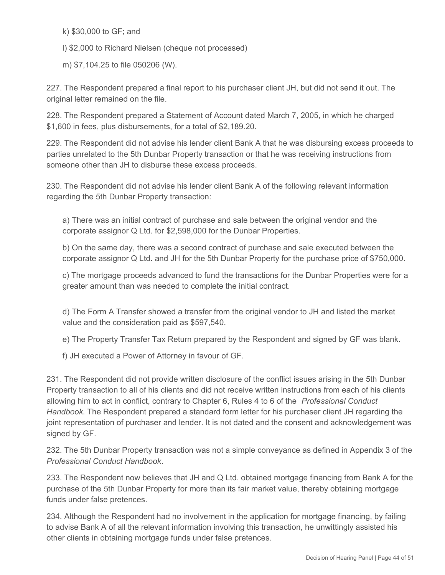k) \$30,000 to GF; and

l) \$2,000 to Richard Nielsen (cheque not processed)

m) \$7,104.25 to file 050206 (W).

227. The Respondent prepared a final report to his purchaser client JH, but did not send it out. The original letter remained on the file.

228. The Respondent prepared a Statement of Account dated March 7, 2005, in which he charged \$1,600 in fees, plus disbursements, for a total of \$2,189.20.

229. The Respondent did not advise his lender client Bank A that he was disbursing excess proceeds to parties unrelated to the 5th Dunbar Property transaction or that he was receiving instructions from someone other than JH to disburse these excess proceeds.

230. The Respondent did not advise his lender client Bank A of the following relevant information regarding the 5th Dunbar Property transaction:

a) There was an initial contract of purchase and sale between the original vendor and the corporate assignor Q Ltd. for \$2,598,000 for the Dunbar Properties.

b) On the same day, there was a second contract of purchase and sale executed between the corporate assignor Q Ltd. and JH for the 5th Dunbar Property for the purchase price of \$750,000.

c) The mortgage proceeds advanced to fund the transactions for the Dunbar Properties were for a greater amount than was needed to complete the initial contract.

d) The Form A Transfer showed a transfer from the original vendor to JH and listed the market value and the consideration paid as \$597,540.

e) The Property Transfer Tax Return prepared by the Respondent and signed by GF was blank.

f) JH executed a Power of Attorney in favour of GF.

231. The Respondent did not provide written disclosure of the conflict issues arising in the 5th Dunbar Property transaction to all of his clients and did not receive written instructions from each of his clients allowing him to act in conflict, contrary to Chapter 6, Rules 4 to 6 of the *Professional Conduct Handbook*. The Respondent prepared a standard form letter for his purchaser client JH regarding the joint representation of purchaser and lender. It is not dated and the consent and acknowledgement was signed by GF.

232. The 5th Dunbar Property transaction was not a simple conveyance as defined in Appendix 3 of the *Professional Conduct Handbook*.

233. The Respondent now believes that JH and Q Ltd. obtained mortgage financing from Bank A for the purchase of the 5th Dunbar Property for more than its fair market value, thereby obtaining mortgage funds under false pretences.

234. Although the Respondent had no involvement in the application for mortgage financing, by failing to advise Bank A of all the relevant information involving this transaction, he unwittingly assisted his other clients in obtaining mortgage funds under false pretences.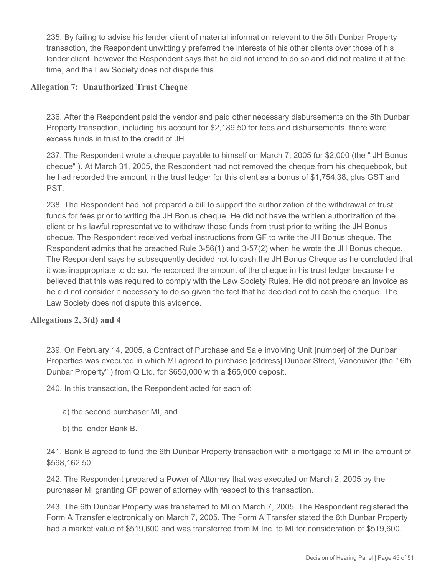235. By failing to advise his lender client of material information relevant to the 5th Dunbar Property transaction, the Respondent unwittingly preferred the interests of his other clients over those of his lender client, however the Respondent says that he did not intend to do so and did not realize it at the time, and the Law Society does not dispute this.

#### **Allegation 7: Unauthorized Trust Cheque**

236. After the Respondent paid the vendor and paid other necessary disbursements on the 5th Dunbar Property transaction, including his account for \$2,189.50 for fees and disbursements, there were excess funds in trust to the credit of JH.

237. The Respondent wrote a cheque payable to himself on March 7, 2005 for \$2,000 (the " JH Bonus cheque" ). At March 31, 2005, the Respondent had not removed the cheque from his chequebook, but he had recorded the amount in the trust ledger for this client as a bonus of \$1,754.38, plus GST and PST.

238. The Respondent had not prepared a bill to support the authorization of the withdrawal of trust funds for fees prior to writing the JH Bonus cheque. He did not have the written authorization of the client or his lawful representative to withdraw those funds from trust prior to writing the JH Bonus cheque. The Respondent received verbal instructions from GF to write the JH Bonus cheque. The Respondent admits that he breached Rule 3-56(1) and 3-57(2) when he wrote the JH Bonus cheque. The Respondent says he subsequently decided not to cash the JH Bonus Cheque as he concluded that it was inappropriate to do so. He recorded the amount of the cheque in his trust ledger because he believed that this was required to comply with the Law Society Rules. He did not prepare an invoice as he did not consider it necessary to do so given the fact that he decided not to cash the cheque. The Law Society does not dispute this evidence.

## **Allegations 2, 3(d) and 4**

239. On February 14, 2005, a Contract of Purchase and Sale involving Unit [number] of the Dunbar Properties was executed in which MI agreed to purchase [address] Dunbar Street, Vancouver (the " 6th Dunbar Property" ) from Q Ltd. for \$650,000 with a \$65,000 deposit.

240. In this transaction, the Respondent acted for each of:

- a) the second purchaser MI, and
- b) the lender Bank B.

241. Bank B agreed to fund the 6th Dunbar Property transaction with a mortgage to MI in the amount of \$598,162.50.

242. The Respondent prepared a Power of Attorney that was executed on March 2, 2005 by the purchaser MI granting GF power of attorney with respect to this transaction.

243. The 6th Dunbar Property was transferred to MI on March 7, 2005. The Respondent registered the Form A Transfer electronically on March 7, 2005. The Form A Transfer stated the 6th Dunbar Property had a market value of \$519,600 and was transferred from M Inc. to MI for consideration of \$519,600.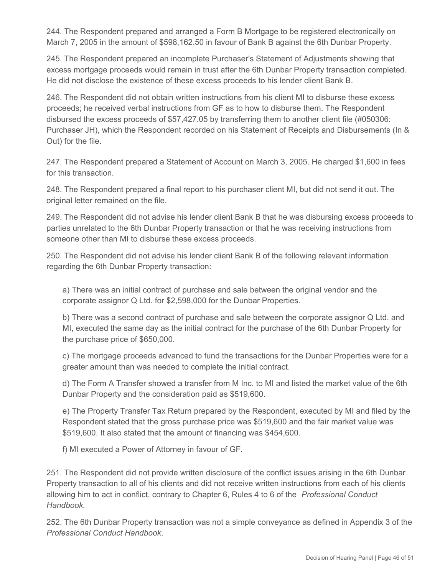244. The Respondent prepared and arranged a Form B Mortgage to be registered electronically on March 7, 2005 in the amount of \$598,162.50 in favour of Bank B against the 6th Dunbar Property.

245. The Respondent prepared an incomplete Purchaser's Statement of Adjustments showing that excess mortgage proceeds would remain in trust after the 6th Dunbar Property transaction completed. He did not disclose the existence of these excess proceeds to his lender client Bank B.

246. The Respondent did not obtain written instructions from his client MI to disburse these excess proceeds; he received verbal instructions from GF as to how to disburse them. The Respondent disbursed the excess proceeds of \$57,427.05 by transferring them to another client file (#050306: Purchaser JH), which the Respondent recorded on his Statement of Receipts and Disbursements (In & Out) for the file.

247. The Respondent prepared a Statement of Account on March 3, 2005. He charged \$1,600 in fees for this transaction.

248. The Respondent prepared a final report to his purchaser client MI, but did not send it out. The original letter remained on the file.

249. The Respondent did not advise his lender client Bank B that he was disbursing excess proceeds to parties unrelated to the 6th Dunbar Property transaction or that he was receiving instructions from someone other than MI to disburse these excess proceeds.

250. The Respondent did not advise his lender client Bank B of the following relevant information regarding the 6th Dunbar Property transaction:

a) There was an initial contract of purchase and sale between the original vendor and the corporate assignor Q Ltd. for \$2,598,000 for the Dunbar Properties.

b) There was a second contract of purchase and sale between the corporate assignor Q Ltd. and MI, executed the same day as the initial contract for the purchase of the 6th Dunbar Property for the purchase price of \$650,000.

c) The mortgage proceeds advanced to fund the transactions for the Dunbar Properties were for a greater amount than was needed to complete the initial contract.

d) The Form A Transfer showed a transfer from M Inc. to MI and listed the market value of the 6th Dunbar Property and the consideration paid as \$519,600.

e) The Property Transfer Tax Return prepared by the Respondent, executed by MI and filed by the Respondent stated that the gross purchase price was \$519,600 and the fair market value was \$519,600. It also stated that the amount of financing was \$454,600.

f) MI executed a Power of Attorney in favour of GF.

251. The Respondent did not provide written disclosure of the conflict issues arising in the 6th Dunbar Property transaction to all of his clients and did not receive written instructions from each of his clients allowing him to act in conflict, contrary to Chapter 6, Rules 4 to 6 of the *Professional Conduct Handbook*.

252. The 6th Dunbar Property transaction was not a simple conveyance as defined in Appendix 3 of the *Professional Conduct Handbook*.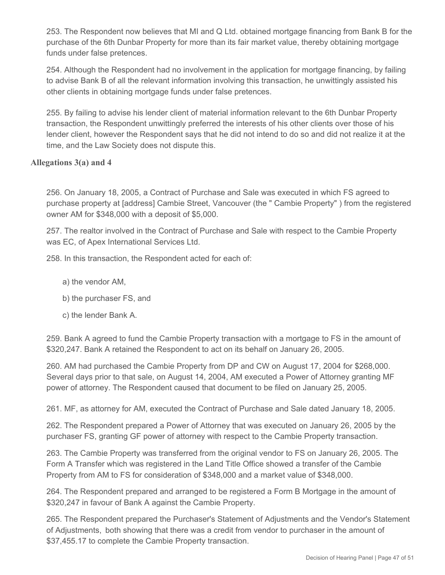253. The Respondent now believes that MI and Q Ltd. obtained mortgage financing from Bank B for the purchase of the 6th Dunbar Property for more than its fair market value, thereby obtaining mortgage funds under false pretences.

254. Although the Respondent had no involvement in the application for mortgage financing, by failing to advise Bank B of all the relevant information involving this transaction, he unwittingly assisted his other clients in obtaining mortgage funds under false pretences.

255. By failing to advise his lender client of material information relevant to the 6th Dunbar Property transaction, the Respondent unwittingly preferred the interests of his other clients over those of his lender client, however the Respondent says that he did not intend to do so and did not realize it at the time, and the Law Society does not dispute this.

## **Allegations 3(a) and 4**

256. On January 18, 2005, a Contract of Purchase and Sale was executed in which FS agreed to purchase property at [address] Cambie Street, Vancouver (the " Cambie Property" ) from the registered owner AM for \$348,000 with a deposit of \$5,000.

257. The realtor involved in the Contract of Purchase and Sale with respect to the Cambie Property was EC, of Apex International Services Ltd.

258. In this transaction, the Respondent acted for each of:

- a) the vendor AM,
- b) the purchaser FS, and
- c) the lender Bank A.

259. Bank A agreed to fund the Cambie Property transaction with a mortgage to FS in the amount of \$320,247. Bank A retained the Respondent to act on its behalf on January 26, 2005.

260. AM had purchased the Cambie Property from DP and CW on August 17, 2004 for \$268,000. Several days prior to that sale, on August 14, 2004, AM executed a Power of Attorney granting MF power of attorney. The Respondent caused that document to be filed on January 25, 2005.

261. MF, as attorney for AM, executed the Contract of Purchase and Sale dated January 18, 2005.

262. The Respondent prepared a Power of Attorney that was executed on January 26, 2005 by the purchaser FS, granting GF power of attorney with respect to the Cambie Property transaction.

263. The Cambie Property was transferred from the original vendor to FS on January 26, 2005. The Form A Transfer which was registered in the Land Title Office showed a transfer of the Cambie Property from AM to FS for consideration of \$348,000 and a market value of \$348,000.

264. The Respondent prepared and arranged to be registered a Form B Mortgage in the amount of \$320,247 in favour of Bank A against the Cambie Property.

265. The Respondent prepared the Purchaser's Statement of Adjustments and the Vendor's Statement of Adjustments, both showing that there was a credit from vendor to purchaser in the amount of \$37,455.17 to complete the Cambie Property transaction.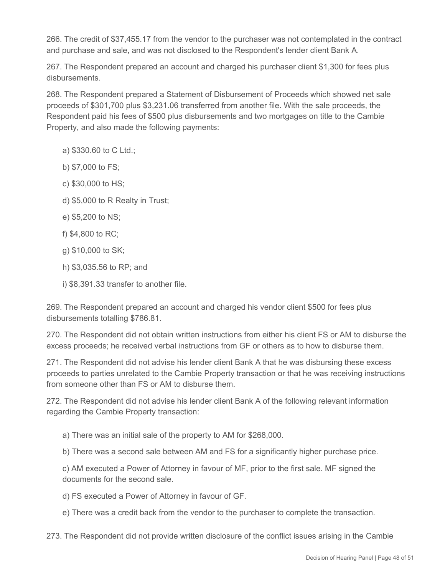266. The credit of \$37,455.17 from the vendor to the purchaser was not contemplated in the contract and purchase and sale, and was not disclosed to the Respondent's lender client Bank A.

267. The Respondent prepared an account and charged his purchaser client \$1,300 for fees plus disbursements.

268. The Respondent prepared a Statement of Disbursement of Proceeds which showed net sale proceeds of \$301,700 plus \$3,231.06 transferred from another file. With the sale proceeds, the Respondent paid his fees of \$500 plus disbursements and two mortgages on title to the Cambie Property, and also made the following payments:

- a) \$330.60 to C Ltd.;
- b) \$7,000 to FS;
- c) \$30,000 to HS;
- d) \$5,000 to R Realty in Trust;
- e) \$5,200 to NS;
- f) \$4,800 to RC;
- g) \$10,000 to SK;
- h) \$3,035.56 to RP; and
- i) \$8,391.33 transfer to another file.

269. The Respondent prepared an account and charged his vendor client \$500 for fees plus disbursements totalling \$786.81.

270. The Respondent did not obtain written instructions from either his client FS or AM to disburse the excess proceeds; he received verbal instructions from GF or others as to how to disburse them.

271. The Respondent did not advise his lender client Bank A that he was disbursing these excess proceeds to parties unrelated to the Cambie Property transaction or that he was receiving instructions from someone other than FS or AM to disburse them.

272. The Respondent did not advise his lender client Bank A of the following relevant information regarding the Cambie Property transaction:

a) There was an initial sale of the property to AM for \$268,000.

b) There was a second sale between AM and FS for a significantly higher purchase price.

c) AM executed a Power of Attorney in favour of MF, prior to the first sale. MF signed the documents for the second sale.

d) FS executed a Power of Attorney in favour of GF.

e) There was a credit back from the vendor to the purchaser to complete the transaction.

273. The Respondent did not provide written disclosure of the conflict issues arising in the Cambie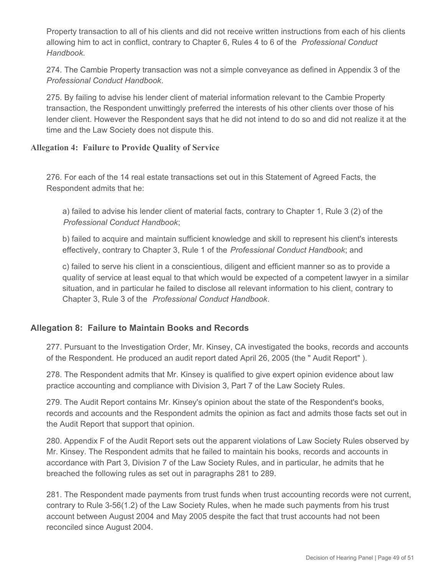Property transaction to all of his clients and did not receive written instructions from each of his clients allowing him to act in conflict, contrary to Chapter 6, Rules 4 to 6 of the *Professional Conduct Handbook*.

274. The Cambie Property transaction was not a simple conveyance as defined in Appendix 3 of the *Professional Conduct Handbook*.

275. By failing to advise his lender client of material information relevant to the Cambie Property transaction, the Respondent unwittingly preferred the interests of his other clients over those of his lender client. However the Respondent says that he did not intend to do so and did not realize it at the time and the Law Society does not dispute this.

## **Allegation 4: Failure to Provide Quality of Service**

276. For each of the 14 real estate transactions set out in this Statement of Agreed Facts, the Respondent admits that he:

a) failed to advise his lender client of material facts, contrary to Chapter 1, Rule 3 (2) of the *Professional Conduct Handbook*;

b) failed to acquire and maintain sufficient knowledge and skill to represent his client's interests effectively, contrary to Chapter 3, Rule 1 of the *Professional Conduct Handbook*; and

c) failed to serve his client in a conscientious, diligent and efficient manner so as to provide a quality of service at least equal to that which would be expected of a competent lawyer in a similar situation, and in particular he failed to disclose all relevant information to his client, contrary to Chapter 3, Rule 3 of the *Professional Conduct Handbook*.

# **Allegation 8: Failure to Maintain Books and Records**

277. Pursuant to the Investigation Order, Mr. Kinsey, CA investigated the books, records and accounts of the Respondent. He produced an audit report dated April 26, 2005 (the " Audit Report" ).

278. The Respondent admits that Mr. Kinsey is qualified to give expert opinion evidence about law practice accounting and compliance with Division 3, Part 7 of the Law Society Rules.

279. The Audit Report contains Mr. Kinsey's opinion about the state of the Respondent's books, records and accounts and the Respondent admits the opinion as fact and admits those facts set out in the Audit Report that support that opinion.

280. Appendix F of the Audit Report sets out the apparent violations of Law Society Rules observed by Mr. Kinsey. The Respondent admits that he failed to maintain his books, records and accounts in accordance with Part 3, Division 7 of the Law Society Rules, and in particular, he admits that he breached the following rules as set out in paragraphs 281 to 289.

281. The Respondent made payments from trust funds when trust accounting records were not current, contrary to Rule 3-56(1.2) of the Law Society Rules, when he made such payments from his trust account between August 2004 and May 2005 despite the fact that trust accounts had not been reconciled since August 2004.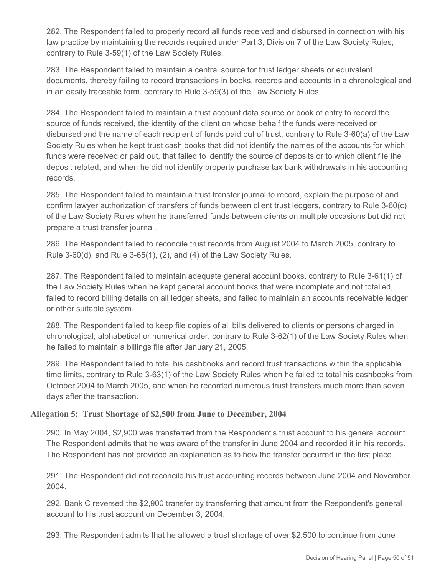282. The Respondent failed to properly record all funds received and disbursed in connection with his law practice by maintaining the records required under Part 3, Division 7 of the Law Society Rules, contrary to Rule 3-59(1) of the Law Society Rules.

283. The Respondent failed to maintain a central source for trust ledger sheets or equivalent documents, thereby failing to record transactions in books, records and accounts in a chronological and in an easily traceable form, contrary to Rule 3-59(3) of the Law Society Rules.

284. The Respondent failed to maintain a trust account data source or book of entry to record the source of funds received, the identity of the client on whose behalf the funds were received or disbursed and the name of each recipient of funds paid out of trust, contrary to Rule 3-60(a) of the Law Society Rules when he kept trust cash books that did not identify the names of the accounts for which funds were received or paid out, that failed to identify the source of deposits or to which client file the deposit related, and when he did not identify property purchase tax bank withdrawals in his accounting records.

285. The Respondent failed to maintain a trust transfer journal to record, explain the purpose of and confirm lawyer authorization of transfers of funds between client trust ledgers, contrary to Rule 3-60(c) of the Law Society Rules when he transferred funds between clients on multiple occasions but did not prepare a trust transfer journal.

286. The Respondent failed to reconcile trust records from August 2004 to March 2005, contrary to Rule 3-60(d), and Rule 3-65(1), (2), and (4) of the Law Society Rules.

287. The Respondent failed to maintain adequate general account books, contrary to Rule 3-61(1) of the Law Society Rules when he kept general account books that were incomplete and not totalled, failed to record billing details on all ledger sheets, and failed to maintain an accounts receivable ledger or other suitable system.

288. The Respondent failed to keep file copies of all bills delivered to clients or persons charged in chronological, alphabetical or numerical order, contrary to Rule 3-62(1) of the Law Society Rules when he failed to maintain a billings file after January 21, 2005.

289. The Respondent failed to total his cashbooks and record trust transactions within the applicable time limits, contrary to Rule 3-63(1) of the Law Society Rules when he failed to total his cashbooks from October 2004 to March 2005, and when he recorded numerous trust transfers much more than seven days after the transaction.

## **Allegation 5: Trust Shortage of \$2,500 from June to December, 2004**

290. In May 2004, \$2,900 was transferred from the Respondent's trust account to his general account. The Respondent admits that he was aware of the transfer in June 2004 and recorded it in his records. The Respondent has not provided an explanation as to how the transfer occurred in the first place.

291. The Respondent did not reconcile his trust accounting records between June 2004 and November 2004.

292. Bank C reversed the \$2,900 transfer by transferring that amount from the Respondent's general account to his trust account on December 3, 2004.

293. The Respondent admits that he allowed a trust shortage of over \$2,500 to continue from June